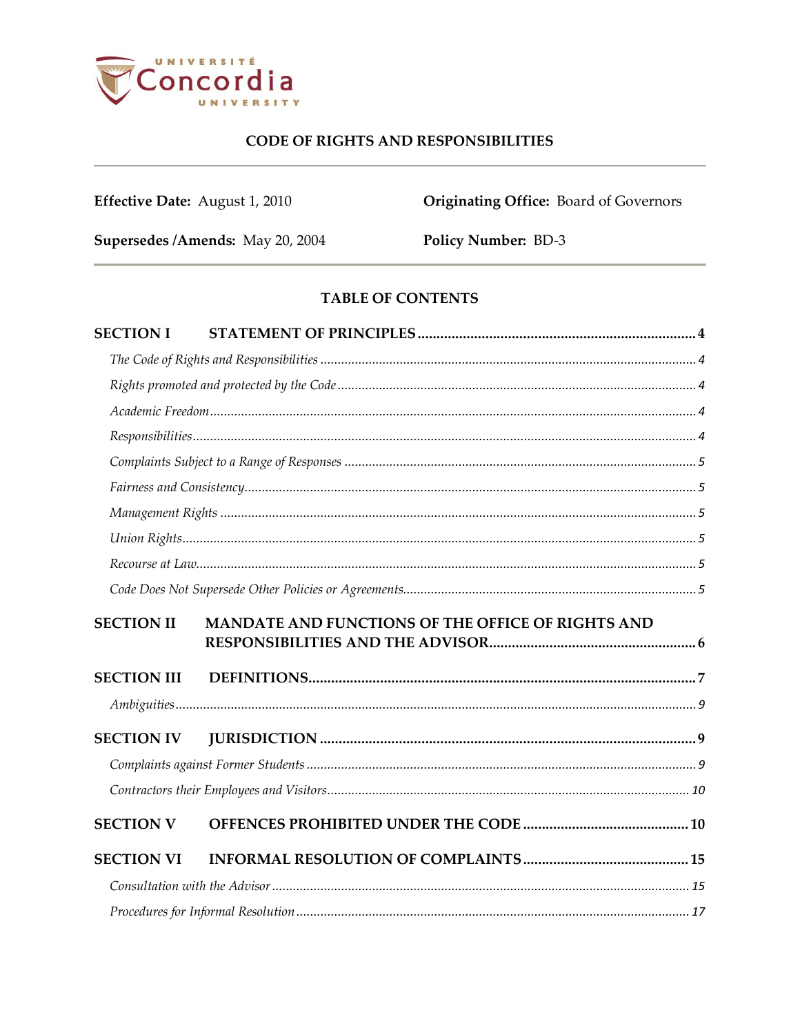

Effective Date: August 1, 2010

**Originating Office:** Board of Governors

Supersedes / Amends: May 20, 2004

Policy Number: BD-3

# TABLE OF CONTENTS

| <b>SECTION I</b>   |                                                   |  |
|--------------------|---------------------------------------------------|--|
|                    |                                                   |  |
|                    |                                                   |  |
|                    |                                                   |  |
|                    |                                                   |  |
|                    |                                                   |  |
|                    |                                                   |  |
|                    |                                                   |  |
|                    |                                                   |  |
|                    |                                                   |  |
|                    |                                                   |  |
| <b>SECTION II</b>  | MANDATE AND FUNCTIONS OF THE OFFICE OF RIGHTS AND |  |
| <b>SECTION III</b> |                                                   |  |
|                    |                                                   |  |
| <b>SECTION IV</b>  |                                                   |  |
|                    |                                                   |  |
|                    |                                                   |  |
| <b>SECTION V</b>   |                                                   |  |
| <b>SECTION VI</b>  |                                                   |  |
|                    |                                                   |  |
|                    |                                                   |  |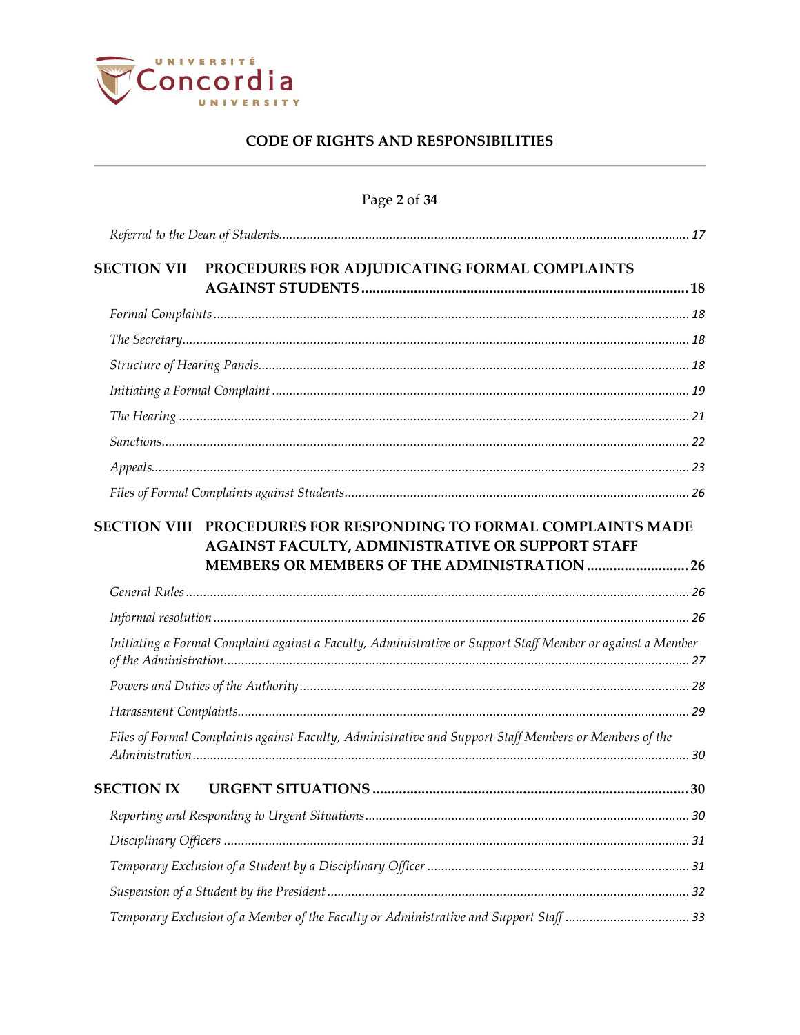

| Page 2 of 34 |  |  |  |
|--------------|--|--|--|
|--------------|--|--|--|

| <b>SECTION VII</b> | PROCEDURES FOR ADJUDICATING FORMAL COMPLAINTS                                                                                                                        |  |
|--------------------|----------------------------------------------------------------------------------------------------------------------------------------------------------------------|--|
|                    |                                                                                                                                                                      |  |
|                    |                                                                                                                                                                      |  |
|                    |                                                                                                                                                                      |  |
|                    |                                                                                                                                                                      |  |
|                    |                                                                                                                                                                      |  |
|                    |                                                                                                                                                                      |  |
|                    |                                                                                                                                                                      |  |
|                    |                                                                                                                                                                      |  |
|                    | SECTION VIII PROCEDURES FOR RESPONDING TO FORMAL COMPLAINTS MADE<br>AGAINST FACULTY, ADMINISTRATIVE OR SUPPORT STAFF<br>MEMBERS OR MEMBERS OF THE ADMINISTRATION  26 |  |
|                    |                                                                                                                                                                      |  |
|                    |                                                                                                                                                                      |  |
|                    | Initiating a Formal Complaint against a Faculty, Administrative or Support Staff Member or against a Member                                                          |  |
|                    |                                                                                                                                                                      |  |
|                    |                                                                                                                                                                      |  |
|                    | Files of Formal Complaints against Faculty, Administrative and Support Staff Members or Members of the                                                               |  |
| <b>SECTION IX</b>  |                                                                                                                                                                      |  |
|                    |                                                                                                                                                                      |  |
|                    |                                                                                                                                                                      |  |
|                    |                                                                                                                                                                      |  |
|                    |                                                                                                                                                                      |  |
|                    |                                                                                                                                                                      |  |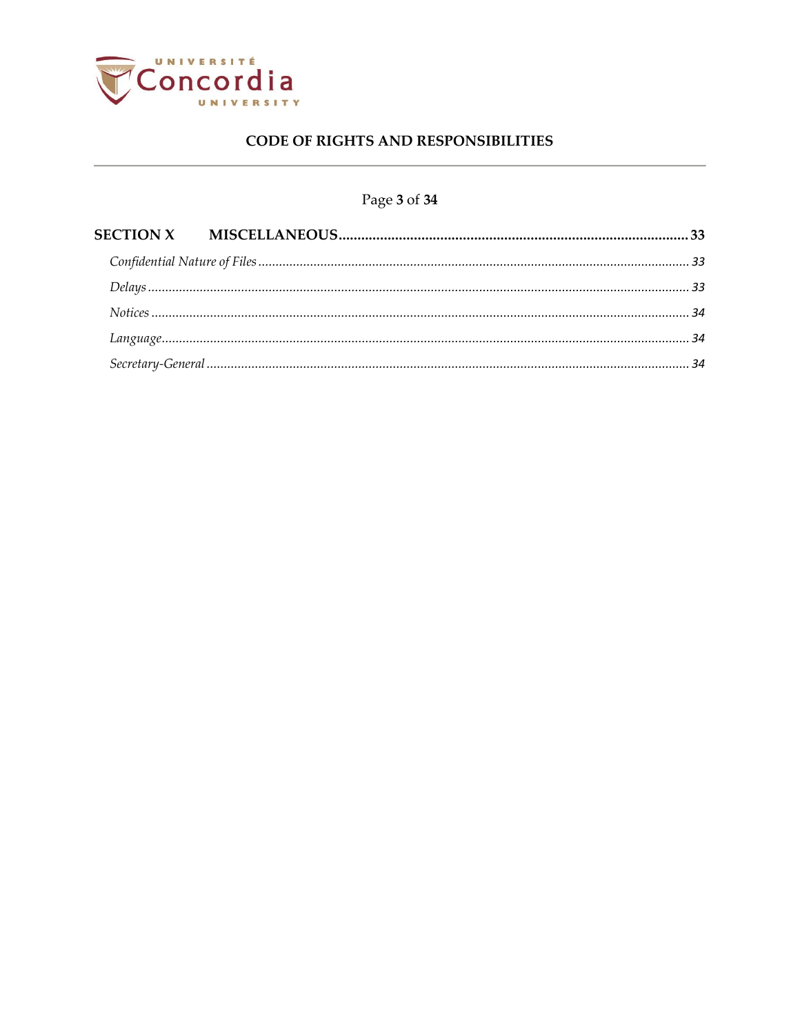

# Page 3 of 34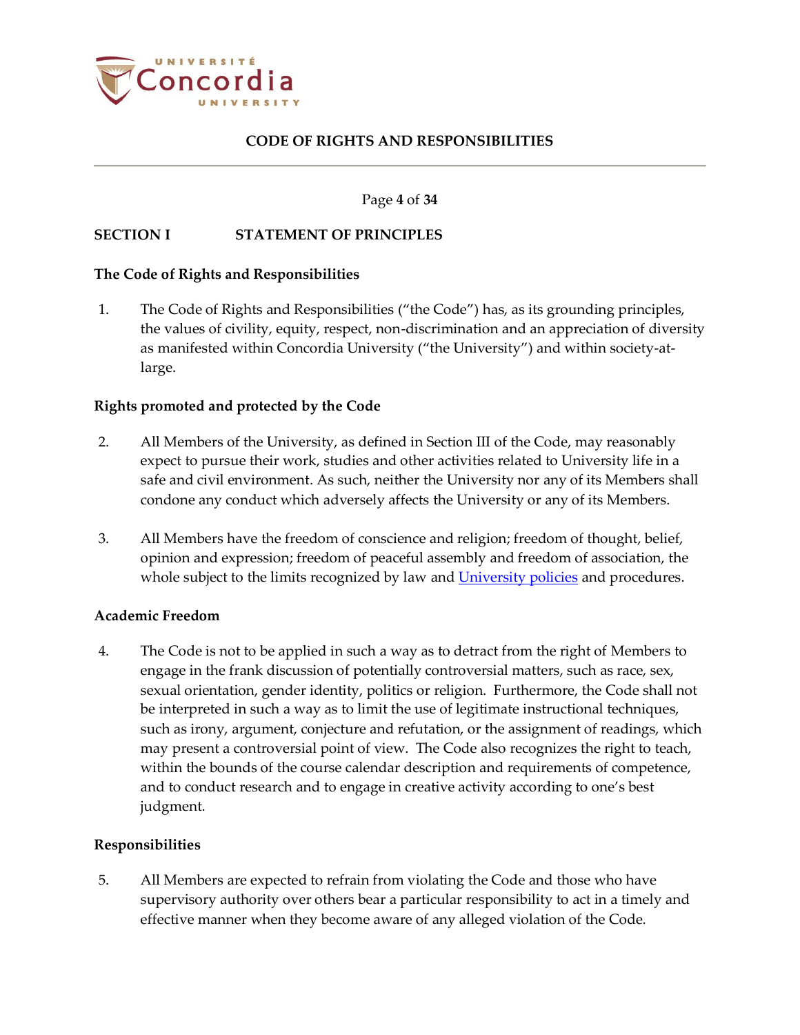

#### Page **4** of **34**

### <span id="page-3-0"></span>**SECTION I STATEMENT OF PRINCIPLES**

#### <span id="page-3-1"></span>**The Code of Rights and Responsibilities**

<span id="page-3-5"></span>1. The Code of Rights and Responsibilities ("the Code") has, as its grounding principles, the values of civility, equity, respect, non-discrimination and an appreciation of diversity as manifested within Concordia University ("the University") and within society-atlarge.

### <span id="page-3-2"></span>**Rights promoted and protected by the Code**

- 2. All Members of the University, as defined in Section III of the Code, may reasonably expect to pursue their work, studies and other activities related to University life in a safe and civil environment. As such, neither the University nor any of its Members shall condone any conduct which adversely affects the University or any of its Members.
- 3. All Members have the freedom of conscience and religion; freedom of thought, belief, opinion and expression; freedom of peaceful assembly and freedom of association, the whole subject to the limits recognized by law and [University policies](http://www.concordia.ca/about/policies.html) and procedures.

#### <span id="page-3-3"></span>**Academic Freedom**

4. The Code is not to be applied in such a way as to detract from the right of Members to engage in the frank discussion of potentially controversial matters, such as race, sex, sexual orientation, gender identity, politics or religion. Furthermore, the Code shall not be interpreted in such a way as to limit the use of legitimate instructional techniques, such as irony, argument, conjecture and refutation, or the assignment of readings, which may present a controversial point of view. The Code also recognizes the right to teach, within the bounds of the course calendar description and requirements of competence, and to conduct research and to engage in creative activity according to one's best judgment.

### <span id="page-3-4"></span>**Responsibilities**

5. All Members are expected to refrain from violating the Code and those who have supervisory authority over others bear a particular responsibility to act in a timely and effective manner when they become aware of any alleged violation of the Code.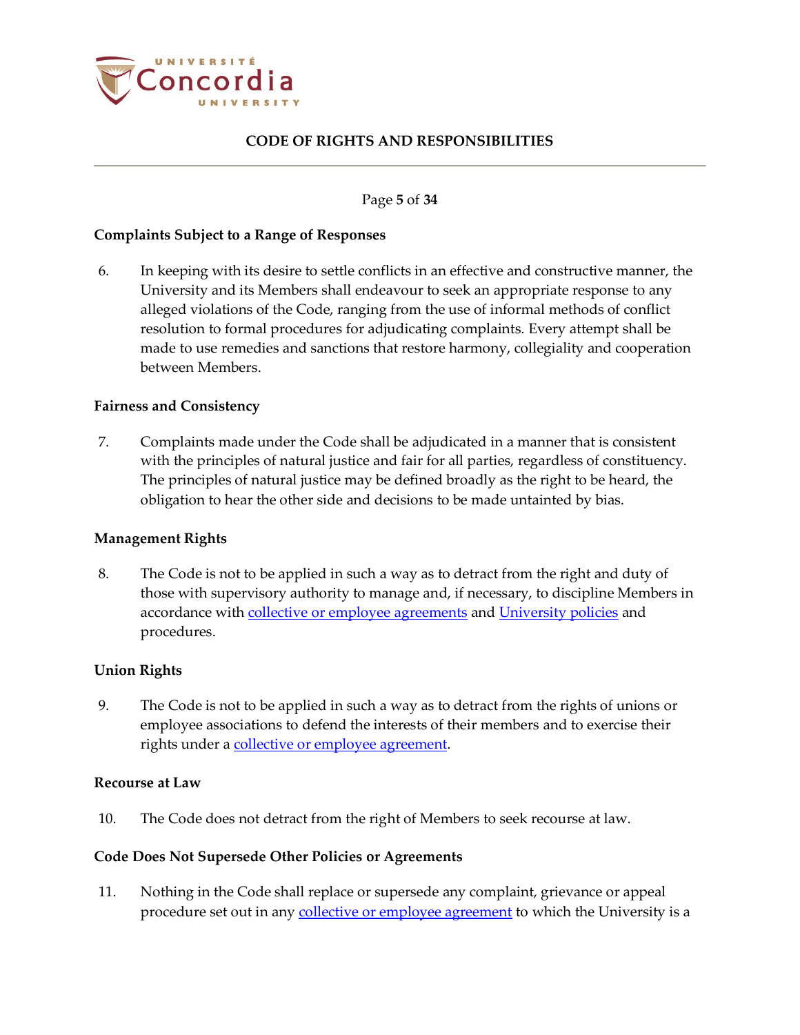

#### Page **5** of **34**

#### <span id="page-4-0"></span>**Complaints Subject to a Range of Responses**

6. In keeping with its desire to settle conflicts in an effective and constructive manner, the University and its Members shall endeavour to seek an appropriate response to any alleged violations of the Code, ranging from the use of informal methods of conflict resolution to formal procedures for adjudicating complaints. Every attempt shall be made to use remedies and sanctions that restore harmony, collegiality and cooperation between Members.

#### <span id="page-4-1"></span>**Fairness and Consistency**

7. Complaints made under the Code shall be adjudicated in a manner that is consistent with the principles of natural justice and fair for all parties, regardless of constituency. The principles of natural justice may be defined broadly as the right to be heard, the obligation to hear the other side and decisions to be made untainted by bias.

#### <span id="page-4-2"></span>**Management Rights**

8. The Code is not to be applied in such a way as to detract from the right and duty of those with supervisory authority to manage and, if necessary, to discipline Members in accordance wit[h collective or employee agreements](https://www.concordia.ca/hr/dept/employee-labour-relations/labour-agreements-collective-bargaining.html) an[d University policies](http://www.concordia.ca/about/policies.html) and procedures.

### <span id="page-4-3"></span>**Union Rights**

<span id="page-4-6"></span>9. The Code is not to be applied in such a way as to detract from the rights of unions or employee associations to defend the interests of their members and to exercise their rights under a [collective or employee agreement.](https://www.concordia.ca/hr/dept/employee-labour-relations/labour-agreements-collective-bargaining.html)

#### <span id="page-4-4"></span>**Recourse at Law**

<span id="page-4-7"></span>10. The Code does not detract from the right of Members to seek recourse at law.

### <span id="page-4-5"></span>**Code Does Not Supersede Other Policies or Agreements**

<span id="page-4-8"></span>11. Nothing in the Code shall replace or supersede any complaint, grievance or appeal procedure set out in any [collective or employee agreement](https://www.concordia.ca/hr/dept/employee-labour-relations/labour-agreements-collective-bargaining.html) to which the University is a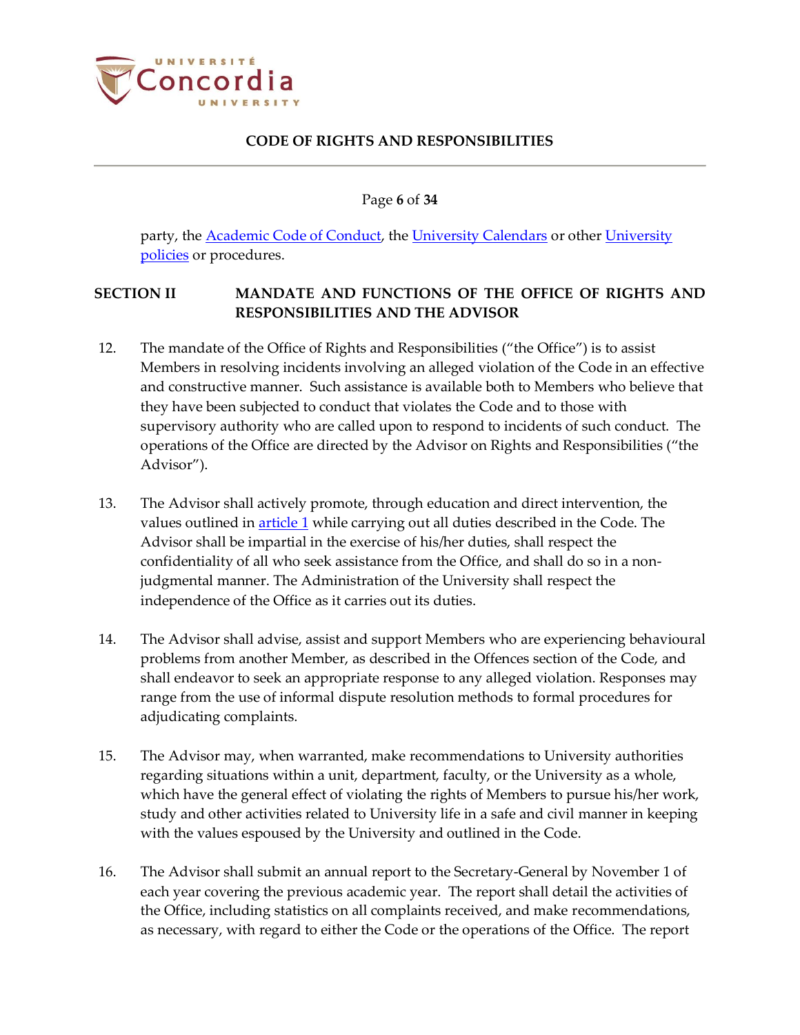

Page **6** of **34**

party, the [Academic Code of Conduct,](http://www.concordia.ca/content/dam/common/docs/policies/official-policies/Academic-Code-Conduct-2015.pdf) the [University Calendars](http://www.concordia.ca/academics/undergraduate/calendar.html) or other [University](http://www.concordia.ca/about/policies.html)  [policies](http://www.concordia.ca/about/policies.html) or procedures.

# <span id="page-5-0"></span>**SECTION II MANDATE AND FUNCTIONS OF THE OFFICE OF RIGHTS AND RESPONSIBILITIES AND THE ADVISOR**

- 12. The mandate of the Office of Rights and Responsibilities ("the Office") is to assist Members in resolving incidents involving an alleged violation of the Code in an effective and constructive manner. Such assistance is available both to Members who believe that they have been subjected to conduct that violates the Code and to those with supervisory authority who are called upon to respond to incidents of such conduct. The operations of the Office are directed by the Advisor on Rights and Responsibilities ("the Advisor").
- 13. The Advisor shall actively promote, through education and direct intervention, the values outlined in **article 1** while carrying out all duties described in the Code. The Advisor shall be impartial in the exercise of his/her duties, shall respect the confidentiality of all who seek assistance from the Office, and shall do so in a nonjudgmental manner. The Administration of the University shall respect the independence of the Office as it carries out its duties.
- 14. The Advisor shall advise, assist and support Members who are experiencing behavioural problems from another Member, as described in the Offences section of the Code, and shall endeavor to seek an appropriate response to any alleged violation. Responses may range from the use of informal dispute resolution methods to formal procedures for adjudicating complaints.
- 15. The Advisor may, when warranted, make recommendations to University authorities regarding situations within a unit, department, faculty, or the University as a whole, which have the general effect of violating the rights of Members to pursue his/her work, study and other activities related to University life in a safe and civil manner in keeping with the values espoused by the University and outlined in the Code.
- 16. The Advisor shall submit an annual report to the Secretary-General by November 1 of each year covering the previous academic year. The report shall detail the activities of the Office, including statistics on all complaints received, and make recommendations, as necessary, with regard to either the Code or the operations of the Office. The report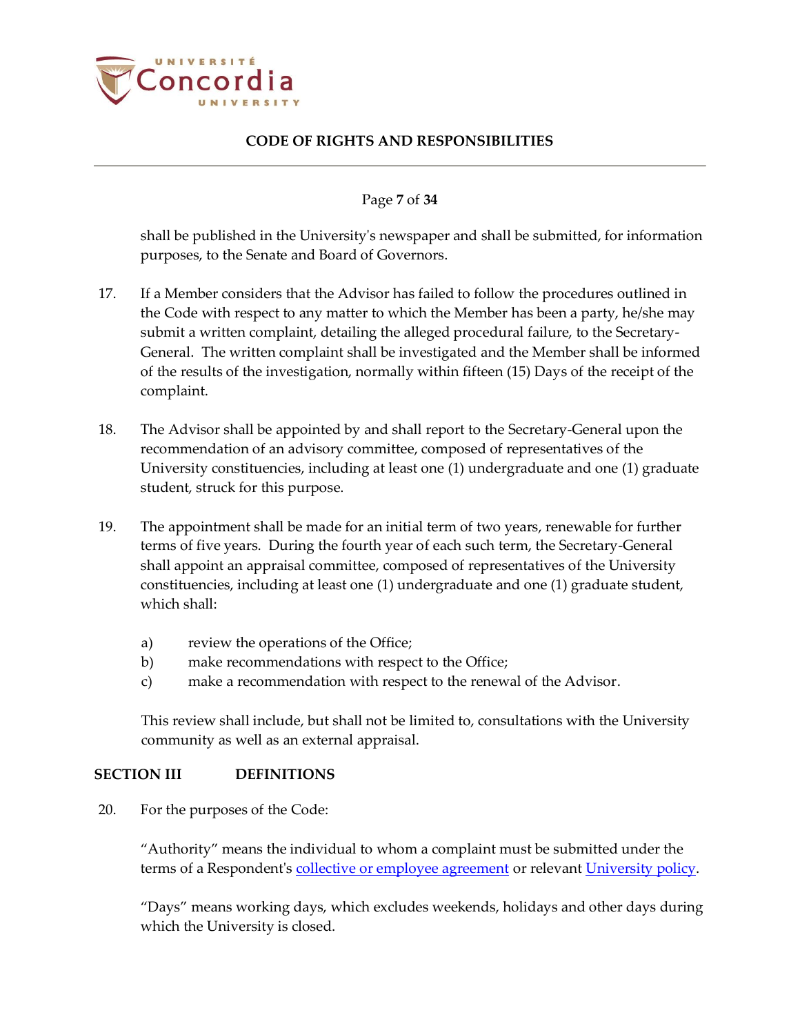

#### Page **7** of **34**

shall be published in the University's newspaper and shall be submitted, for information purposes, to the Senate and Board of Governors.

- 17. If a Member considers that the Advisor has failed to follow the procedures outlined in the Code with respect to any matter to which the Member has been a party, he/she may submit a written complaint, detailing the alleged procedural failure, to the Secretary-General. The written complaint shall be investigated and the Member shall be informed of the results of the investigation, normally within fifteen (15) Days of the receipt of the complaint.
- 18. The Advisor shall be appointed by and shall report to the Secretary-General upon the recommendation of an advisory committee, composed of representatives of the University constituencies, including at least one (1) undergraduate and one (1) graduate student, struck for this purpose.
- 19. The appointment shall be made for an initial term of two years, renewable for further terms of five years. During the fourth year of each such term, the Secretary-General shall appoint an appraisal committee, composed of representatives of the University constituencies, including at least one (1) undergraduate and one (1) graduate student, which shall:
	- a) review the operations of the Office;
	- b) make recommendations with respect to the Office;
	- c) make a recommendation with respect to the renewal of the Advisor.

This review shall include, but shall not be limited to, consultations with the University community as well as an external appraisal.

#### <span id="page-6-0"></span>**SECTION III DEFINITIONS**

20. For the purposes of the Code:

"Authority" means the individual to whom a complaint must be submitted under the terms of a Respondent's [collective or employee agreement](https://www.concordia.ca/hr/dept/employee-labour-relations/labour-agreements-collective-bargaining.html) or relevant [University policy.](http://www.concordia.ca/about/policies.html)

"Days" means working days, which excludes weekends, holidays and other days during which the University is closed.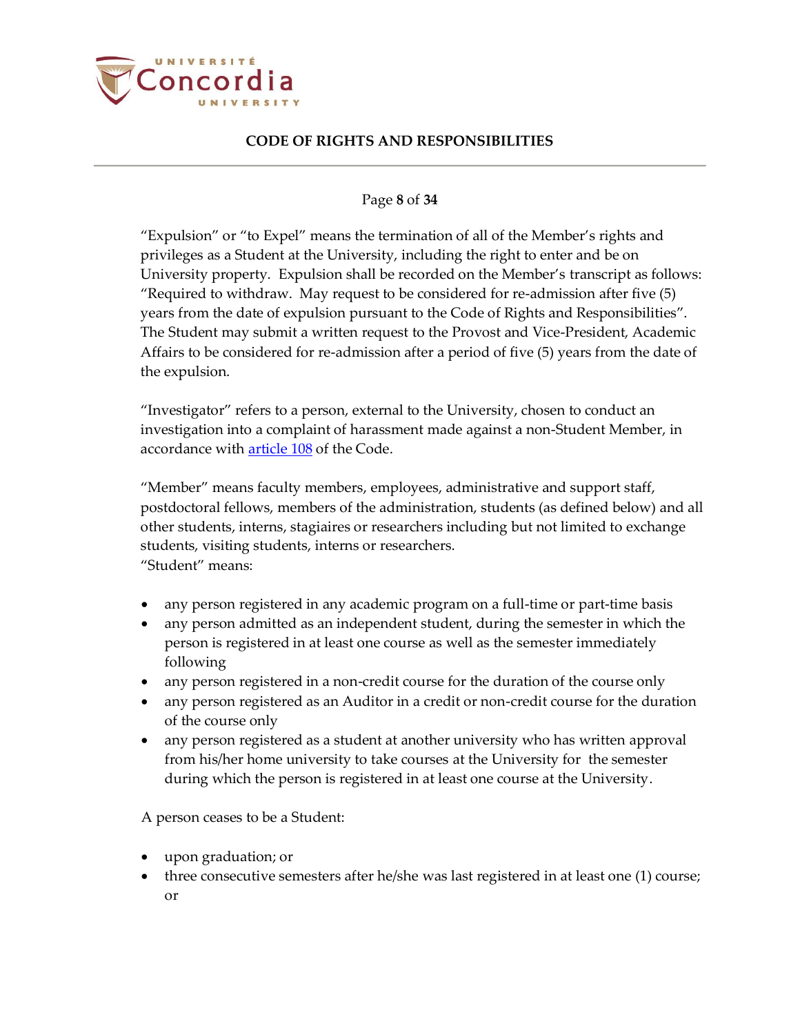

### Page **8** of **34**

"Expulsion" or "to Expel" means the termination of all of the Member's rights and privileges as a Student at the University, including the right to enter and be on University property. Expulsion shall be recorded on the Member's transcript as follows: "Required to withdraw. May request to be considered for re-admission after five (5) years from the date of expulsion pursuant to the Code of Rights and Responsibilities". The Student may submit a written request to the Provost and Vice-President, Academic Affairs to be considered for re-admission after a period of five (5) years from the date of the expulsion.

"Investigator" refers to a person, external to the University, chosen to conduct an investigation into a complaint of harassment made against a non-Student Member, in accordance with **article 108** of the Code.

"Member" means faculty members, employees, administrative and support staff, postdoctoral fellows, members of the administration, students (as defined below) and all other students, interns, stagiaires or researchers including but not limited to exchange students, visiting students, interns or researchers. "Student" means:

- any person registered in any academic program on a full-time or part-time basis
- any person admitted as an independent student, during the semester in which the person is registered in at least one course as well as the semester immediately following
- any person registered in a non-credit course for the duration of the course only
- any person registered as an Auditor in a credit or non-credit course for the duration of the course only
- any person registered as a student at another university who has written approval from his/her home university to take courses at the University for the semester during which the person is registered in at least one course at the University.

A person ceases to be a Student:

- upon graduation; or
- three consecutive semesters after he/she was last registered in at least one (1) course; or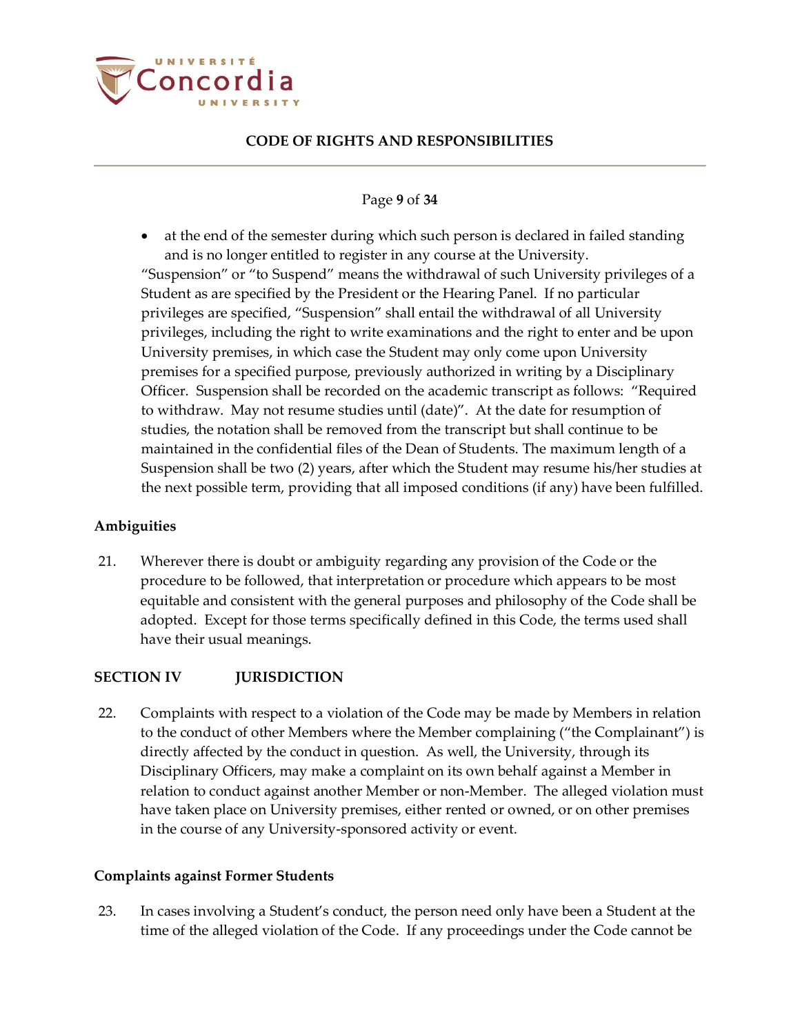

### Page **9** of **34**

 at the end of the semester during which such person is declared in failed standing and is no longer entitled to register in any course at the University. "Suspension" or "to Suspend" means the withdrawal of such University privileges of a Student as are specified by the President or the Hearing Panel. If no particular privileges are specified, "Suspension" shall entail the withdrawal of all University privileges, including the right to write examinations and the right to enter and be upon University premises, in which case the Student may only come upon University premises for a specified purpose, previously authorized in writing by a Disciplinary Officer. Suspension shall be recorded on the academic transcript as follows: "Required to withdraw. May not resume studies until (date)". At the date for resumption of studies, the notation shall be removed from the transcript but shall continue to be maintained in the confidential files of the Dean of Students. The maximum length of a Suspension shall be two (2) years, after which the Student may resume his/her studies at the next possible term, providing that all imposed conditions (if any) have been fulfilled.

### <span id="page-8-0"></span>**Ambiguities**

21. Wherever there is doubt or ambiguity regarding any provision of the Code or the procedure to be followed, that interpretation or procedure which appears to be most equitable and consistent with the general purposes and philosophy of the Code shall be adopted. Except for those terms specifically defined in this Code, the terms used shall have their usual meanings.

### <span id="page-8-1"></span>**SECTION IV JURISDICTION**

<span id="page-8-3"></span>22. Complaints with respect to a violation of the Code may be made by Members in relation to the conduct of other Members where the Member complaining ("the Complainant") is directly affected by the conduct in question. As well, the University, through its Disciplinary Officers, may make a complaint on its own behalf against a Member in relation to conduct against another Member or non-Member. The alleged violation must have taken place on University premises, either rented or owned, or on other premises in the course of any University-sponsored activity or event.

### <span id="page-8-2"></span>**Complaints against Former Students**

23. In cases involving a Student's conduct, the person need only have been a Student at the time of the alleged violation of the Code. If any proceedings under the Code cannot be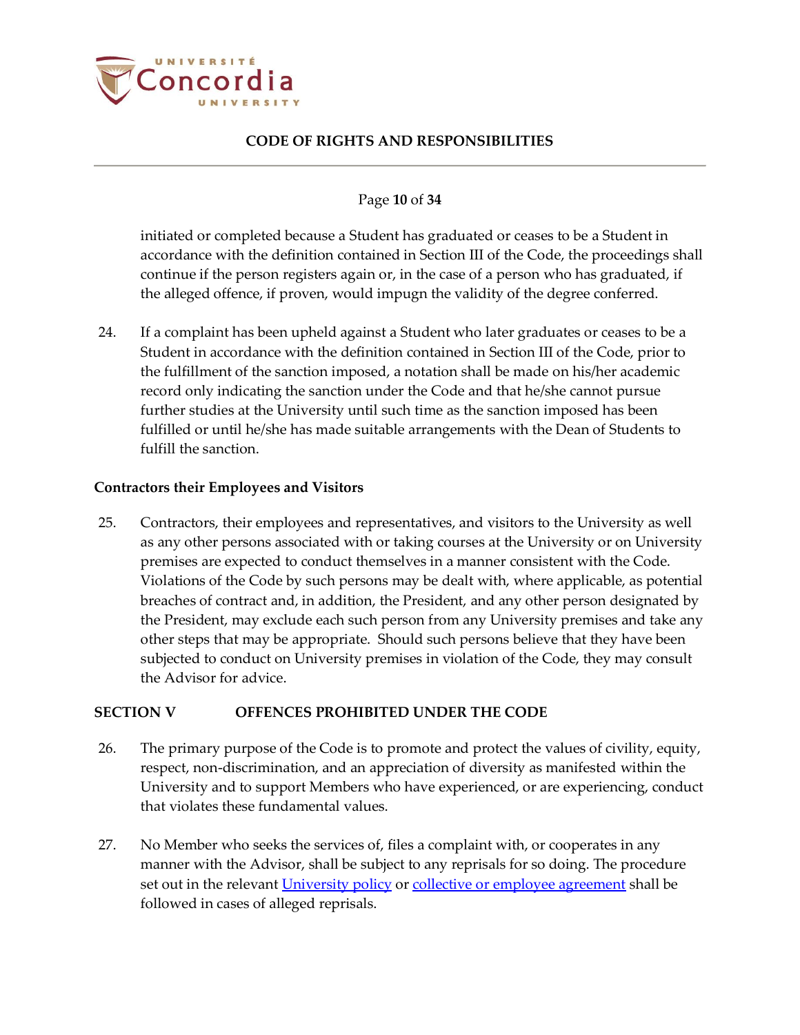

#### Page **10** of **34**

initiated or completed because a Student has graduated or ceases to be a Student in accordance with the definition contained in Section III of the Code, the proceedings shall continue if the person registers again or, in the case of a person who has graduated, if the alleged offence, if proven, would impugn the validity of the degree conferred.

24. If a complaint has been upheld against a Student who later graduates or ceases to be a Student in accordance with the definition contained in Section III of the Code, prior to the fulfillment of the sanction imposed, a notation shall be made on his/her academic record only indicating the sanction under the Code and that he/she cannot pursue further studies at the University until such time as the sanction imposed has been fulfilled or until he/she has made suitable arrangements with the Dean of Students to fulfill the sanction.

#### <span id="page-9-0"></span>**Contractors their Employees and Visitors**

25. Contractors, their employees and representatives, and visitors to the University as well as any other persons associated with or taking courses at the University or on University premises are expected to conduct themselves in a manner consistent with the Code. Violations of the Code by such persons may be dealt with, where applicable, as potential breaches of contract and, in addition, the President, and any other person designated by the President, may exclude each such person from any University premises and take any other steps that may be appropriate. Should such persons believe that they have been subjected to conduct on University premises in violation of the Code, they may consult the Advisor for advice.

### <span id="page-9-1"></span>**SECTION V OFFENCES PROHIBITED UNDER THE CODE**

- 26. The primary purpose of the Code is to promote and protect the values of civility, equity, respect, non-discrimination, and an appreciation of diversity as manifested within the University and to support Members who have experienced, or are experiencing, conduct that violates these fundamental values.
- 27. No Member who seeks the services of, files a complaint with, or cooperates in any manner with the Advisor, shall be subject to any reprisals for so doing. The procedure set out in the relevan[t University policy](http://www.concordia.ca/about/policies.html) or [collective or employee agreement](https://www.concordia.ca/hr/dept/employee-labour-relations/labour-agreements-collective-bargaining.html) shall be followed in cases of alleged reprisals.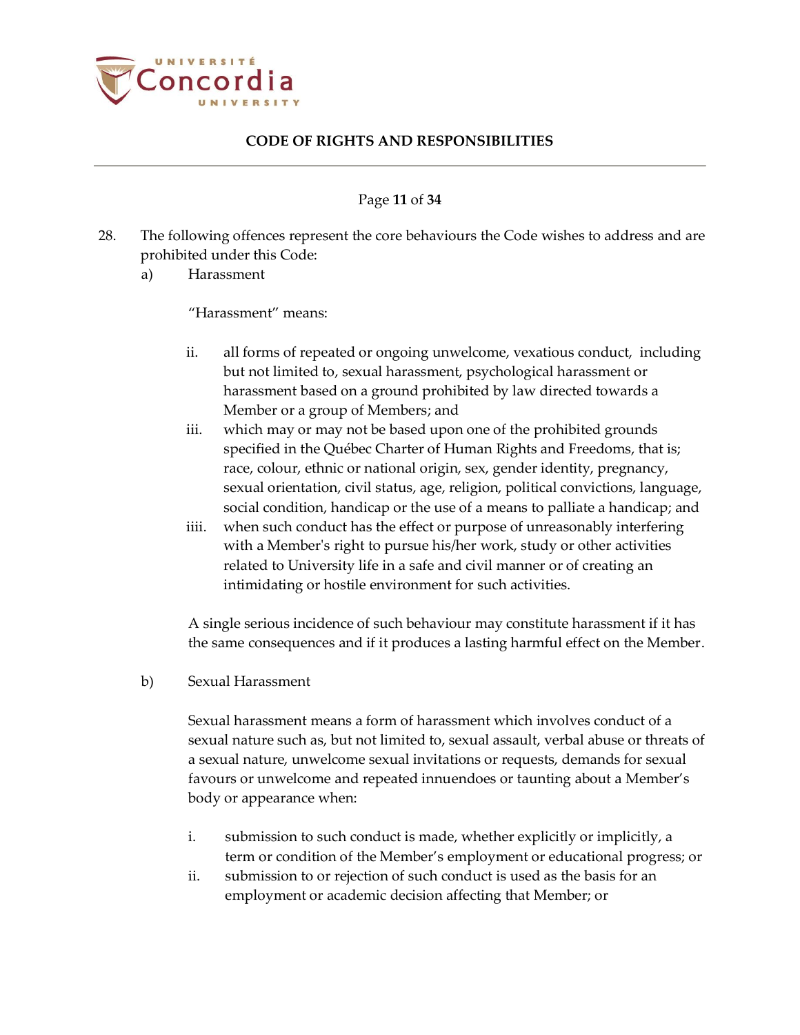

#### Page **11** of **34**

- <span id="page-10-0"></span>28. The following offences represent the core behaviours the Code wishes to address and are prohibited under this Code:
	- a) Harassment

"Harassment" means:

- ii. all forms of repeated or ongoing unwelcome, vexatious conduct, including but not limited to, sexual harassment, psychological harassment or harassment based on a ground prohibited by law directed towards a Member or a group of Members; and
- iii. which may or may not be based upon one of the prohibited grounds specified in the Québec Charter of Human Rights and Freedoms, that is; race, colour, ethnic or national origin, sex, gender identity, pregnancy, sexual orientation, civil status, age, religion, political convictions, language, social condition, handicap or the use of a means to palliate a handicap; and
- iiii. when such conduct has the effect or purpose of unreasonably interfering with a Member's right to pursue his/her work, study or other activities related to University life in a safe and civil manner or of creating an intimidating or hostile environment for such activities.

A single serious incidence of such behaviour may constitute harassment if it has the same consequences and if it produces a lasting harmful effect on the Member.

b) Sexual Harassment

Sexual harassment means a form of harassment which involves conduct of a sexual nature such as, but not limited to, sexual assault, verbal abuse or threats of a sexual nature, unwelcome sexual invitations or requests, demands for sexual favours or unwelcome and repeated innuendoes or taunting about a Member's body or appearance when:

- i. submission to such conduct is made, whether explicitly or implicitly, a term or condition of the Member's employment or educational progress; or
- ii. submission to or rejection of such conduct is used as the basis for an employment or academic decision affecting that Member; or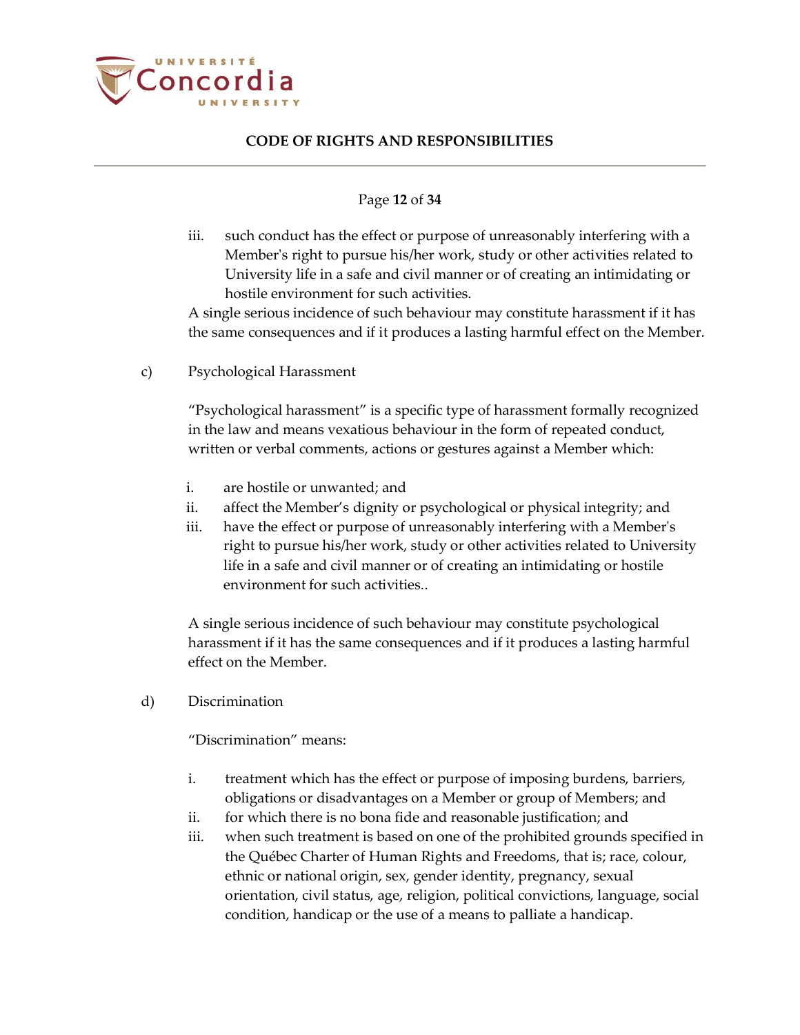

#### Page **12** of **34**

iii. such conduct has the effect or purpose of unreasonably interfering with a Member's right to pursue his/her work, study or other activities related to University life in a safe and civil manner or of creating an intimidating or hostile environment for such activities.

A single serious incidence of such behaviour may constitute harassment if it has the same consequences and if it produces a lasting harmful effect on the Member.

c) Psychological Harassment

"Psychological harassment" is a specific type of harassment formally recognized in the law and means vexatious behaviour in the form of repeated conduct, written or verbal comments, actions or gestures against a Member which:

- i. are hostile or unwanted; and
- ii. affect the Member's dignity or psychological or physical integrity; and
- iii. have the effect or purpose of unreasonably interfering with a Member's right to pursue his/her work, study or other activities related to University life in a safe and civil manner or of creating an intimidating or hostile environment for such activities..

A single serious incidence of such behaviour may constitute psychological harassment if it has the same consequences and if it produces a lasting harmful effect on the Member.

d) Discrimination

"Discrimination" means:

- i. treatment which has the effect or purpose of imposing burdens, barriers, obligations or disadvantages on a Member or group of Members; and
- ii. for which there is no bona fide and reasonable justification; and
- iii. when such treatment is based on one of the prohibited grounds specified in the Québec Charter of Human Rights and Freedoms, that is; race, colour, ethnic or national origin, sex, gender identity, pregnancy, sexual orientation, civil status, age, religion, political convictions, language, social condition, handicap or the use of a means to palliate a handicap.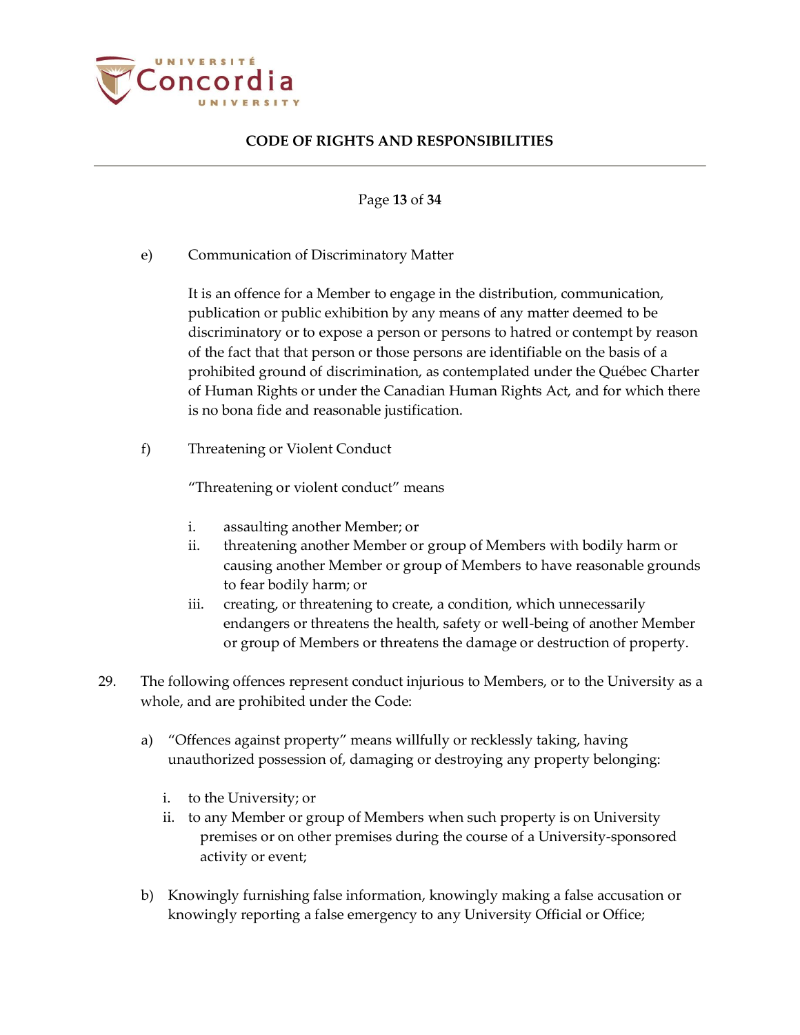

Page **13** of **34**

e) Communication of Discriminatory Matter

It is an offence for a Member to engage in the distribution, communication, publication or public exhibition by any means of any matter deemed to be discriminatory or to expose a person or persons to hatred or contempt by reason of the fact that that person or those persons are identifiable on the basis of a prohibited ground of discrimination, as contemplated under the Québec Charter of Human Rights or under the Canadian Human Rights Act, and for which there is no bona fide and reasonable justification.

f) Threatening or Violent Conduct

"Threatening or violent conduct" means

- i. assaulting another Member; or
- ii. threatening another Member or group of Members with bodily harm or causing another Member or group of Members to have reasonable grounds to fear bodily harm; or
- iii. creating, or threatening to create, a condition, which unnecessarily endangers or threatens the health, safety or well-being of another Member or group of Members or threatens the damage or destruction of property.
- <span id="page-12-0"></span>29. The following offences represent conduct injurious to Members, or to the University as a whole, and are prohibited under the Code:
	- a) "Offences against property" means willfully or recklessly taking, having unauthorized possession of, damaging or destroying any property belonging:
		- i. to the University; or
		- ii. to any Member or group of Members when such property is on University premises or on other premises during the course of a University-sponsored activity or event;
	- b) Knowingly furnishing false information, knowingly making a false accusation or knowingly reporting a false emergency to any University Official or Office;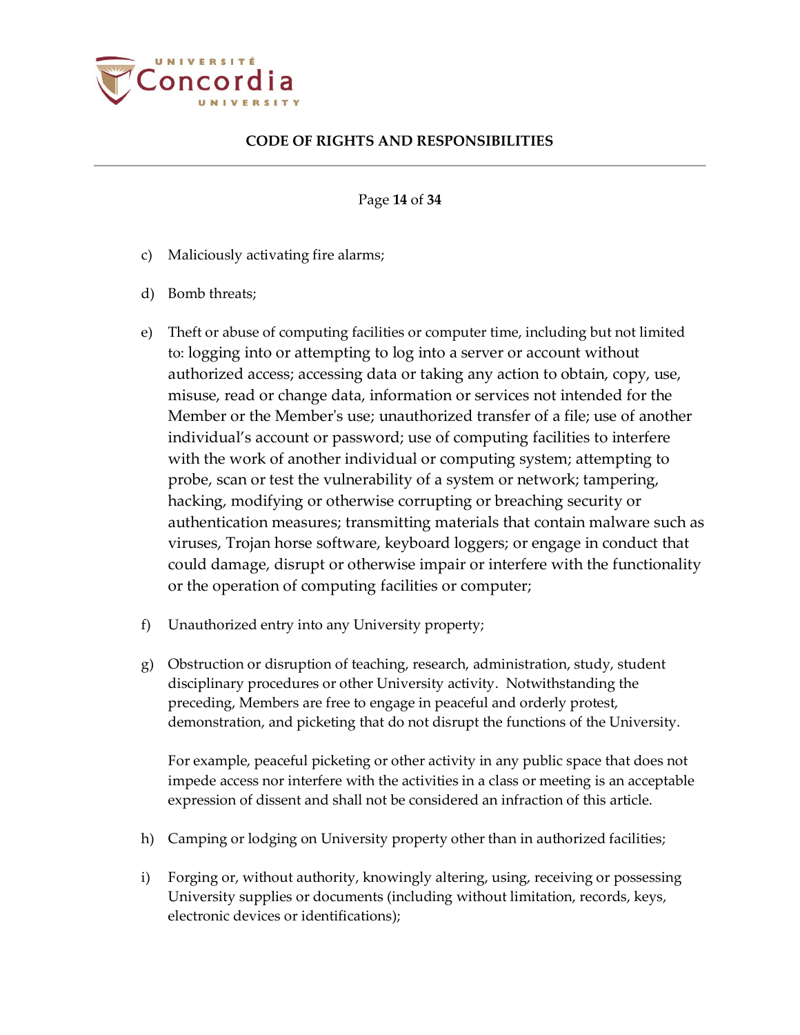

Page **14** of **34**

- c) Maliciously activating fire alarms;
- d) Bomb threats;
- e) Theft or abuse of computing facilities or computer time, including but not limited to: logging into or attempting to log into a server or account without authorized access; accessing data or taking any action to obtain, copy, use, misuse, read or change data, information or services not intended for the Member or the Member's use; unauthorized transfer of a file; use of another individual's account or password; use of computing facilities to interfere with the work of another individual or computing system; attempting to probe, scan or test the vulnerability of a system or network; tampering, hacking, modifying or otherwise corrupting or breaching security or authentication measures; transmitting materials that contain malware such as viruses, Trojan horse software, keyboard loggers; or engage in conduct that could damage, disrupt or otherwise impair or interfere with the functionality or the operation of computing facilities or computer;
- f) Unauthorized entry into any University property;
- g) Obstruction or disruption of teaching, research, administration, study, student disciplinary procedures or other University activity. Notwithstanding the preceding, Members are free to engage in peaceful and orderly protest, demonstration, and picketing that do not disrupt the functions of the University.

For example, peaceful picketing or other activity in any public space that does not impede access nor interfere with the activities in a class or meeting is an acceptable expression of dissent and shall not be considered an infraction of this article.

- h) Camping or lodging on University property other than in authorized facilities;
- i) Forging or, without authority, knowingly altering, using, receiving or possessing University supplies or documents (including without limitation, records, keys, electronic devices or identifications);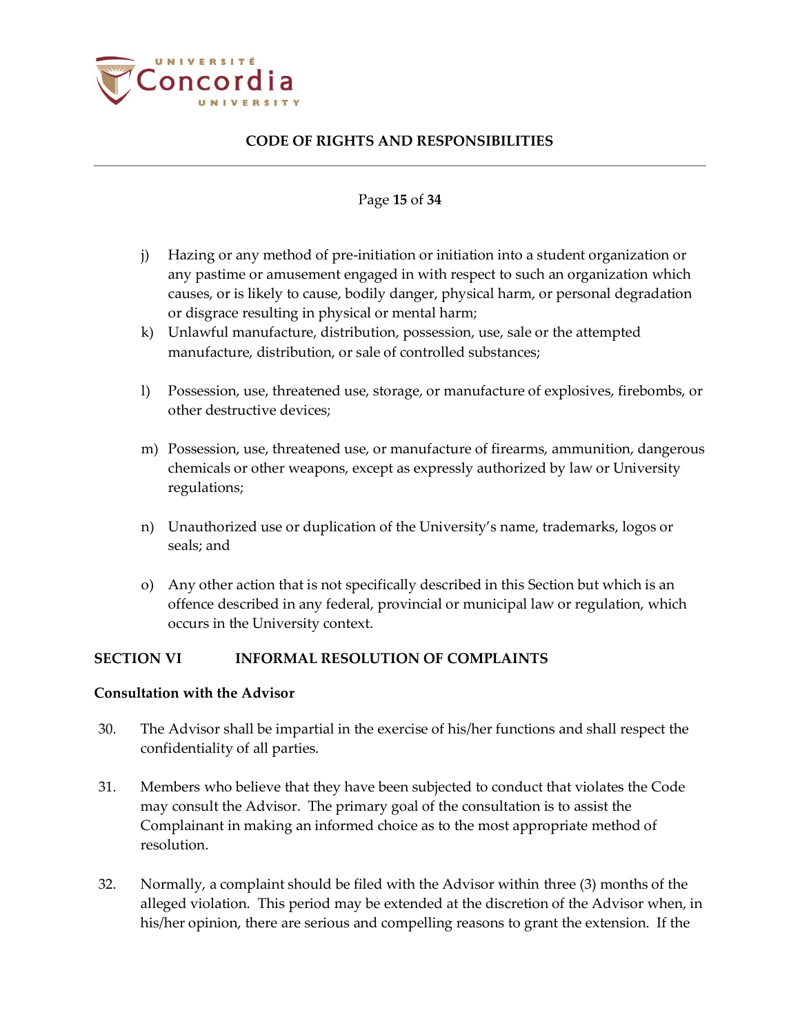

#### Page **15** of **34**

- j) Hazing or any method of pre-initiation or initiation into a student organization or any pastime or amusement engaged in with respect to such an organization which causes, or is likely to cause, bodily danger, physical harm, or personal degradation or disgrace resulting in physical or mental harm;
- k) Unlawful manufacture, distribution, possession, use, sale or the attempted manufacture, distribution, or sale of controlled substances;
- l) Possession, use, threatened use, storage, or manufacture of explosives, firebombs, or other destructive devices;
- m) Possession, use, threatened use, or manufacture of firearms, ammunition, dangerous chemicals or other weapons, except as expressly authorized by law or University regulations;
- n) Unauthorized use or duplication of the University's name, trademarks, logos or seals; and
- o) Any other action that is not specifically described in this Section but which is an offence described in any federal, provincial or municipal law or regulation, which occurs in the University context.

### <span id="page-14-0"></span>**SECTION VI INFORMAL RESOLUTION OF COMPLAINTS**

#### <span id="page-14-1"></span>**Consultation with the Advisor**

- 30. The Advisor shall be impartial in the exercise of his/her functions and shall respect the confidentiality of all parties.
- 31. Members who believe that they have been subjected to conduct that violates the Code may consult the Advisor. The primary goal of the consultation is to assist the Complainant in making an informed choice as to the most appropriate method of resolution.
- 32. Normally, a complaint should be filed with the Advisor within three (3) months of the alleged violation. This period may be extended at the discretion of the Advisor when, in his/her opinion, there are serious and compelling reasons to grant the extension. If the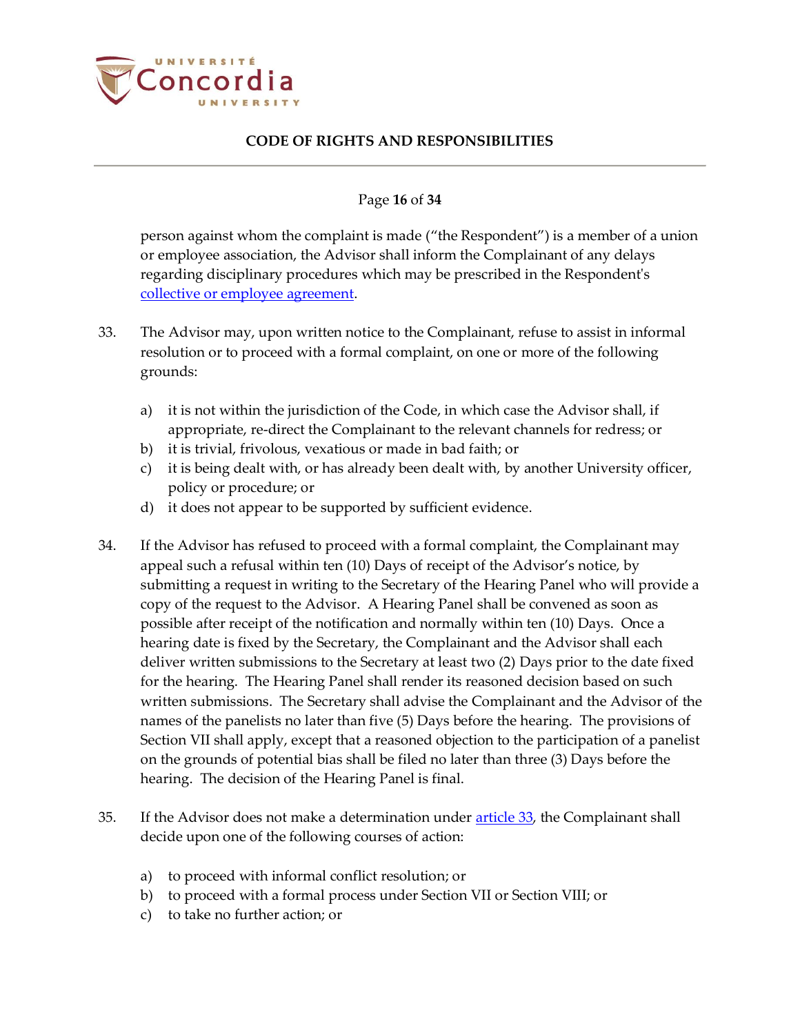

#### Page **16** of **34**

person against whom the complaint is made ("the Respondent") is a member of a union or employee association, the Advisor shall inform the Complainant of any delays regarding disciplinary procedures which may be prescribed in the Respondent's [collective or employee agreement.](https://www.concordia.ca/hr/dept/employee-labour-relations/labour-agreements-collective-bargaining.html)

- <span id="page-15-0"></span>33. The Advisor may, upon written notice to the Complainant, refuse to assist in informal resolution or to proceed with a formal complaint, on one or more of the following grounds:
	- a) it is not within the jurisdiction of the Code, in which case the Advisor shall, if appropriate, re-direct the Complainant to the relevant channels for redress; or
	- b) it is trivial, frivolous, vexatious or made in bad faith; or
	- c) it is being dealt with, or has already been dealt with, by another University officer, policy or procedure; or
	- d) it does not appear to be supported by sufficient evidence.
- 34. If the Advisor has refused to proceed with a formal complaint, the Complainant may appeal such a refusal within ten (10) Days of receipt of the Advisor's notice, by submitting a request in writing to the Secretary of the Hearing Panel who will provide a copy of the request to the Advisor. A Hearing Panel shall be convened as soon as possible after receipt of the notification and normally within ten (10) Days. Once a hearing date is fixed by the Secretary, the Complainant and the Advisor shall each deliver written submissions to the Secretary at least two (2) Days prior to the date fixed for the hearing. The Hearing Panel shall render its reasoned decision based on such written submissions. The Secretary shall advise the Complainant and the Advisor of the names of the panelists no later than five (5) Days before the hearing. The provisions of Section VII shall apply, except that a reasoned objection to the participation of a panelist on the grounds of potential bias shall be filed no later than three (3) Days before the hearing. The decision of the Hearing Panel is final.
- 35. If the Advisor does not make a determination under [article 33,](#page-15-0) the Complainant shall decide upon one of the following courses of action:
	- a) to proceed with informal conflict resolution; or
	- b) to proceed with a formal process under Section VII or Section VIII; or
	- c) to take no further action; or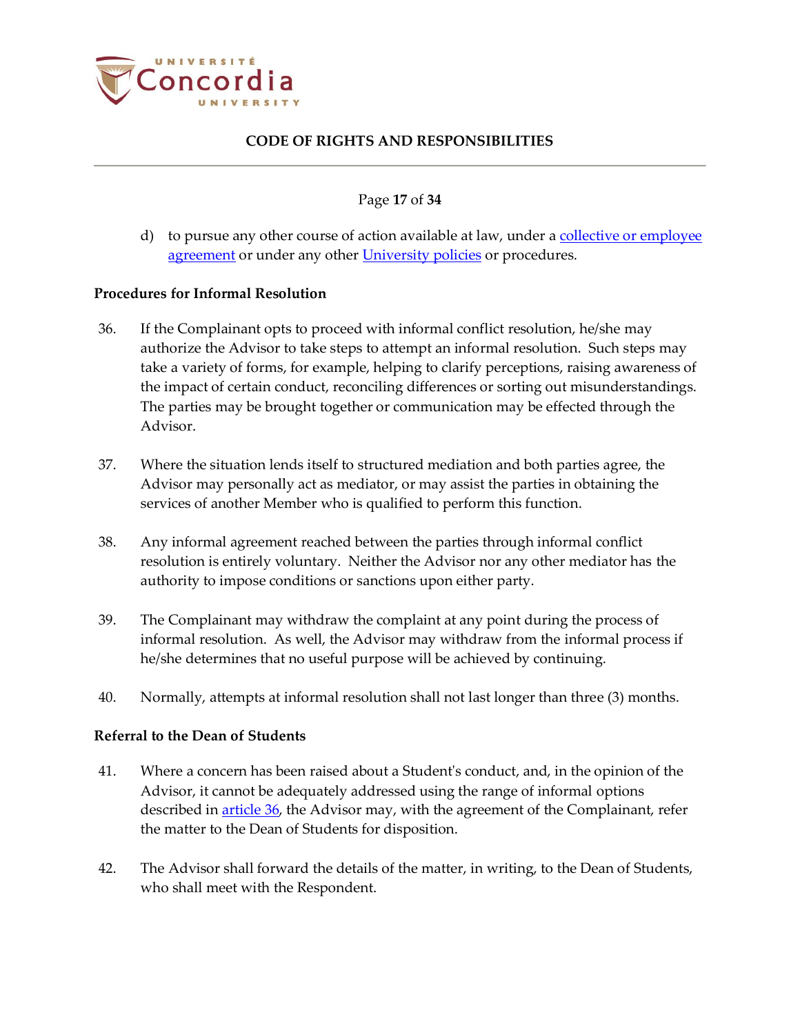

Page **17** of **34**

d) to pursue any other course of action available at law, under a [collective or employee](https://www.concordia.ca/hr/dept/employee-labour-relations/labour-agreements-collective-bargaining.html)  [agreement](https://www.concordia.ca/hr/dept/employee-labour-relations/labour-agreements-collective-bargaining.html) or under any other [University policies](http://www.concordia.ca/about/policies.html) or procedures.

#### <span id="page-16-0"></span>**Procedures for Informal Resolution**

- <span id="page-16-2"></span>36. If the Complainant opts to proceed with informal conflict resolution, he/she may authorize the Advisor to take steps to attempt an informal resolution. Such steps may take a variety of forms, for example, helping to clarify perceptions, raising awareness of the impact of certain conduct, reconciling differences or sorting out misunderstandings. The parties may be brought together or communication may be effected through the Advisor.
- 37. Where the situation lends itself to structured mediation and both parties agree, the Advisor may personally act as mediator, or may assist the parties in obtaining the services of another Member who is qualified to perform this function.
- 38. Any informal agreement reached between the parties through informal conflict resolution is entirely voluntary. Neither the Advisor nor any other mediator has the authority to impose conditions or sanctions upon either party.
- 39. The Complainant may withdraw the complaint at any point during the process of informal resolution. As well, the Advisor may withdraw from the informal process if he/she determines that no useful purpose will be achieved by continuing.
- 40. Normally, attempts at informal resolution shall not last longer than three (3) months.

### <span id="page-16-1"></span>**Referral to the Dean of Students**

- 41. Where a concern has been raised about a Student's conduct, and, in the opinion of the Advisor, it cannot be adequately addressed using the range of informal options described in <u>article 36</u>, the Advisor may, with the agreement of the Complainant, refer the matter to the Dean of Students for disposition.
- 42. The Advisor shall forward the details of the matter, in writing, to the Dean of Students, who shall meet with the Respondent.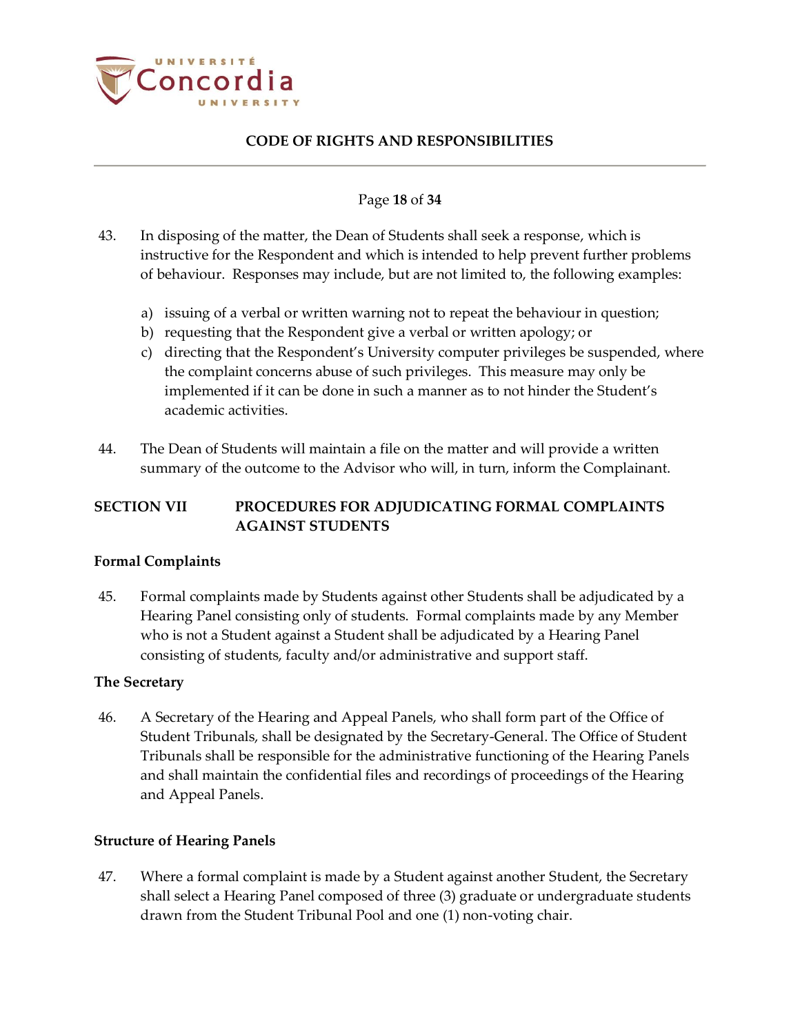

#### Page **18** of **34**

- 43. In disposing of the matter, the Dean of Students shall seek a response, which is instructive for the Respondent and which is intended to help prevent further problems of behaviour. Responses may include, but are not limited to, the following examples:
	- a) issuing of a verbal or written warning not to repeat the behaviour in question;
	- b) requesting that the Respondent give a verbal or written apology; or
	- c) directing that the Respondent's University computer privileges be suspended, where the complaint concerns abuse of such privileges. This measure may only be implemented if it can be done in such a manner as to not hinder the Student's academic activities.
- 44. The Dean of Students will maintain a file on the matter and will provide a written summary of the outcome to the Advisor who will, in turn, inform the Complainant.

# <span id="page-17-0"></span>**SECTION VII PROCEDURES FOR ADJUDICATING FORMAL COMPLAINTS AGAINST STUDENTS**

### <span id="page-17-1"></span>**Formal Complaints**

45. Formal complaints made by Students against other Students shall be adjudicated by a Hearing Panel consisting only of students. Formal complaints made by any Member who is not a Student against a Student shall be adjudicated by a Hearing Panel consisting of students, faculty and/or administrative and support staff.

### <span id="page-17-2"></span>**The Secretary**

46. A Secretary of the Hearing and Appeal Panels, who shall form part of the Office of Student Tribunals, shall be designated by the Secretary-General. The Office of Student Tribunals shall be responsible for the administrative functioning of the Hearing Panels and shall maintain the confidential files and recordings of proceedings of the Hearing and Appeal Panels.

### <span id="page-17-3"></span>**Structure of Hearing Panels**

47. Where a formal complaint is made by a Student against another Student, the Secretary shall select a Hearing Panel composed of three (3) graduate or undergraduate students drawn from the Student Tribunal Pool and one (1) non-voting chair.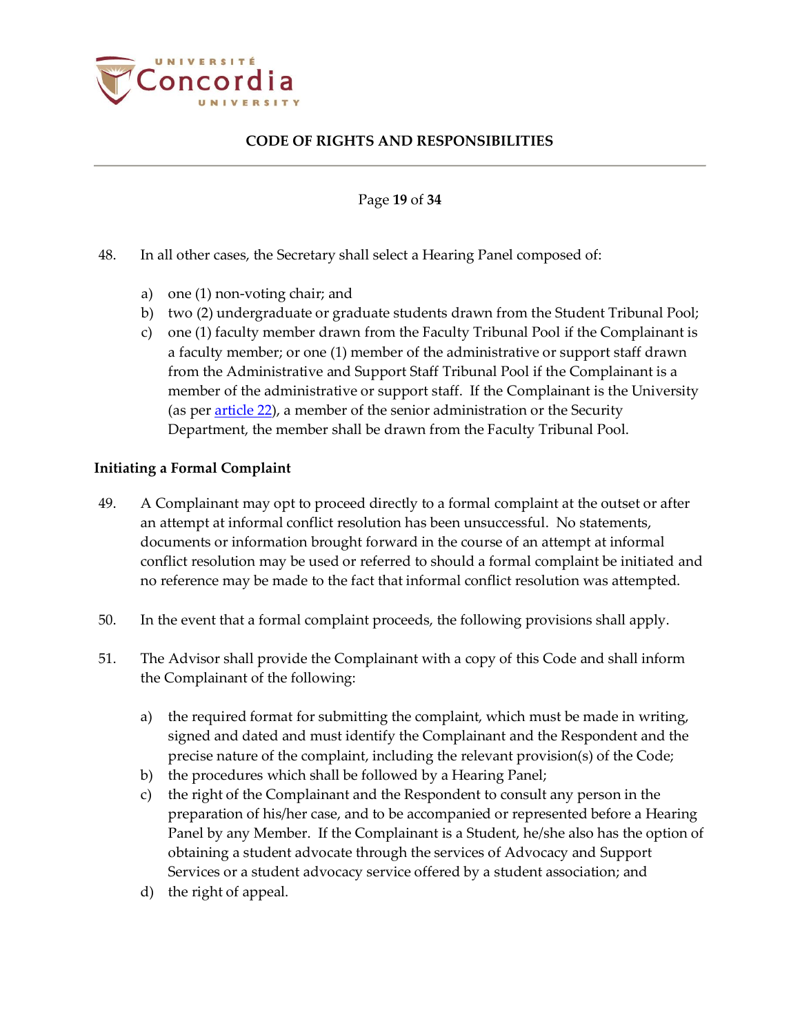

Page **19** of **34**

- 48. In all other cases, the Secretary shall select a Hearing Panel composed of:
	- a) one (1) non-voting chair; and
	- b) two (2) undergraduate or graduate students drawn from the Student Tribunal Pool;
	- c) one (1) faculty member drawn from the Faculty Tribunal Pool if the Complainant is a faculty member; or one (1) member of the administrative or support staff drawn from the Administrative and Support Staff Tribunal Pool if the Complainant is a member of the administrative or support staff. If the Complainant is the University (as per [article 22\)](#page-8-3), a member of the senior administration or the Security Department, the member shall be drawn from the Faculty Tribunal Pool.

### <span id="page-18-0"></span>**Initiating a Formal Complaint**

- 49. A Complainant may opt to proceed directly to a formal complaint at the outset or after an attempt at informal conflict resolution has been unsuccessful. No statements, documents or information brought forward in the course of an attempt at informal conflict resolution may be used or referred to should a formal complaint be initiated and no reference may be made to the fact that informal conflict resolution was attempted.
- 50. In the event that a formal complaint proceeds, the following provisions shall apply.
- <span id="page-18-1"></span>51. The Advisor shall provide the Complainant with a copy of this Code and shall inform the Complainant of the following:
	- a) the required format for submitting the complaint, which must be made in writing, signed and dated and must identify the Complainant and the Respondent and the precise nature of the complaint, including the relevant provision(s) of the Code;
	- b) the procedures which shall be followed by a Hearing Panel;
	- c) the right of the Complainant and the Respondent to consult any person in the preparation of his/her case, and to be accompanied or represented before a Hearing Panel by any Member. If the Complainant is a Student, he/she also has the option of obtaining a student advocate through the services of Advocacy and Support Services or a student advocacy service offered by a student association; and
	- d) the right of appeal.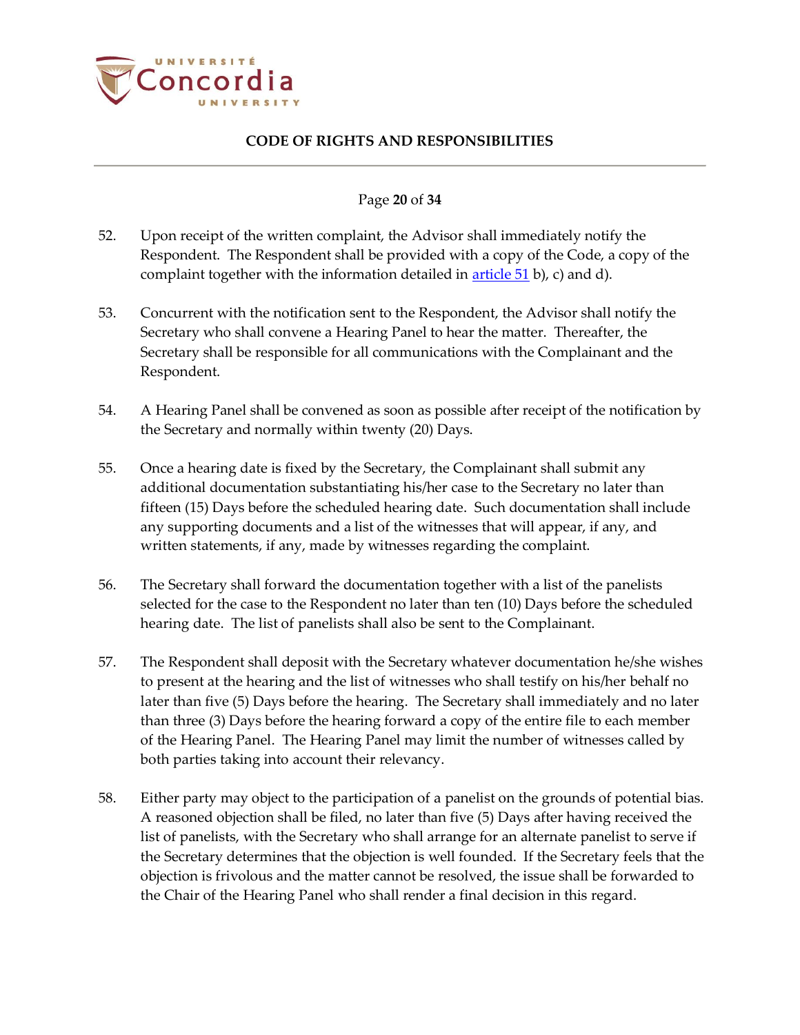

#### Page **20** of **34**

- 52. Upon receipt of the written complaint, the Advisor shall immediately notify the Respondent. The Respondent shall be provided with a copy of the Code, a copy of the complaint together with the information detailed in  $\frac{\text{article }51}{\text{b}}$ , c) and d).
- 53. Concurrent with the notification sent to the Respondent, the Advisor shall notify the Secretary who shall convene a Hearing Panel to hear the matter. Thereafter, the Secretary shall be responsible for all communications with the Complainant and the Respondent.
- 54. A Hearing Panel shall be convened as soon as possible after receipt of the notification by the Secretary and normally within twenty (20) Days.
- 55. Once a hearing date is fixed by the Secretary, the Complainant shall submit any additional documentation substantiating his/her case to the Secretary no later than fifteen (15) Days before the scheduled hearing date. Such documentation shall include any supporting documents and a list of the witnesses that will appear, if any, and written statements, if any, made by witnesses regarding the complaint.
- 56. The Secretary shall forward the documentation together with a list of the panelists selected for the case to the Respondent no later than ten (10) Days before the scheduled hearing date. The list of panelists shall also be sent to the Complainant.
- 57. The Respondent shall deposit with the Secretary whatever documentation he/she wishes to present at the hearing and the list of witnesses who shall testify on his/her behalf no later than five (5) Days before the hearing. The Secretary shall immediately and no later than three (3) Days before the hearing forward a copy of the entire file to each member of the Hearing Panel. The Hearing Panel may limit the number of witnesses called by both parties taking into account their relevancy.
- 58. Either party may object to the participation of a panelist on the grounds of potential bias. A reasoned objection shall be filed, no later than five (5) Days after having received the list of panelists, with the Secretary who shall arrange for an alternate panelist to serve if the Secretary determines that the objection is well founded. If the Secretary feels that the objection is frivolous and the matter cannot be resolved, the issue shall be forwarded to the Chair of the Hearing Panel who shall render a final decision in this regard.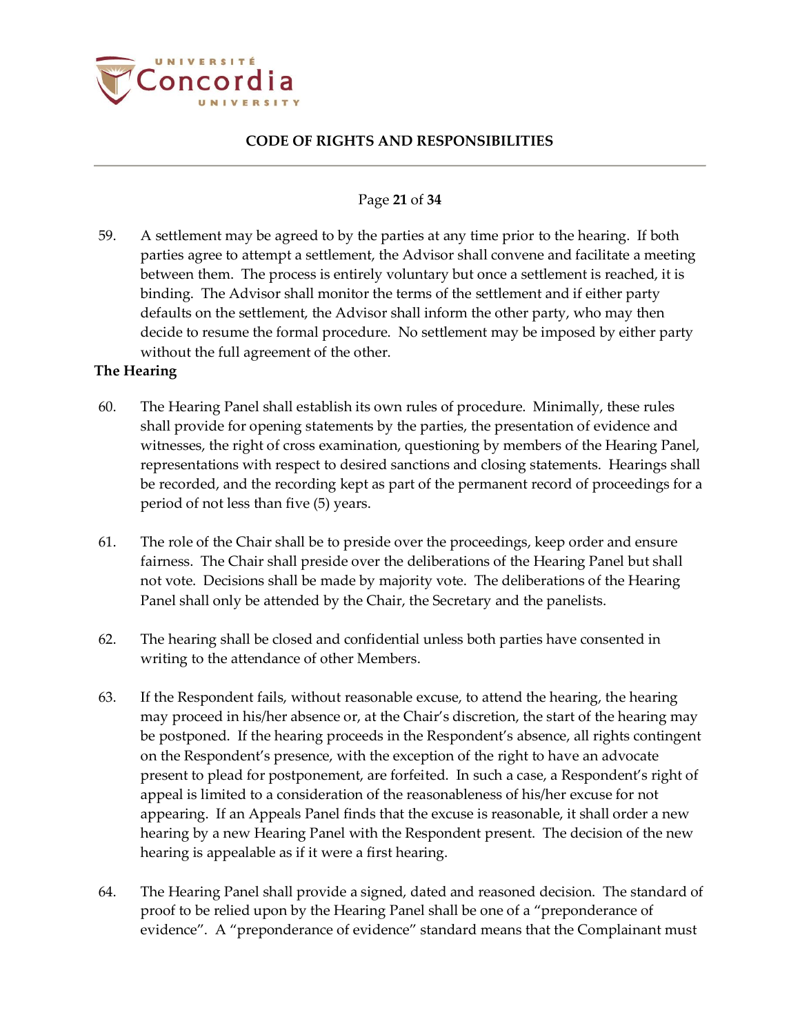

### Page **21** of **34**

59. A settlement may be agreed to by the parties at any time prior to the hearing. If both parties agree to attempt a settlement, the Advisor shall convene and facilitate a meeting between them. The process is entirely voluntary but once a settlement is reached, it is binding. The Advisor shall monitor the terms of the settlement and if either party defaults on the settlement, the Advisor shall inform the other party, who may then decide to resume the formal procedure. No settlement may be imposed by either party without the full agreement of the other.

### <span id="page-20-0"></span>**The Hearing**

- 60. The Hearing Panel shall establish its own rules of procedure. Minimally, these rules shall provide for opening statements by the parties, the presentation of evidence and witnesses, the right of cross examination, questioning by members of the Hearing Panel, representations with respect to desired sanctions and closing statements. Hearings shall be recorded, and the recording kept as part of the permanent record of proceedings for a period of not less than five (5) years.
- 61. The role of the Chair shall be to preside over the proceedings, keep order and ensure fairness. The Chair shall preside over the deliberations of the Hearing Panel but shall not vote. Decisions shall be made by majority vote. The deliberations of the Hearing Panel shall only be attended by the Chair, the Secretary and the panelists.
- 62. The hearing shall be closed and confidential unless both parties have consented in writing to the attendance of other Members.
- 63. If the Respondent fails, without reasonable excuse, to attend the hearing, the hearing may proceed in his/her absence or, at the Chair's discretion, the start of the hearing may be postponed. If the hearing proceeds in the Respondent's absence, all rights contingent on the Respondent's presence, with the exception of the right to have an advocate present to plead for postponement, are forfeited. In such a case, a Respondent's right of appeal is limited to a consideration of the reasonableness of his/her excuse for not appearing. If an Appeals Panel finds that the excuse is reasonable, it shall order a new hearing by a new Hearing Panel with the Respondent present. The decision of the new hearing is appealable as if it were a first hearing.
- 64. The Hearing Panel shall provide a signed, dated and reasoned decision. The standard of proof to be relied upon by the Hearing Panel shall be one of a "preponderance of evidence". A "preponderance of evidence" standard means that the Complainant must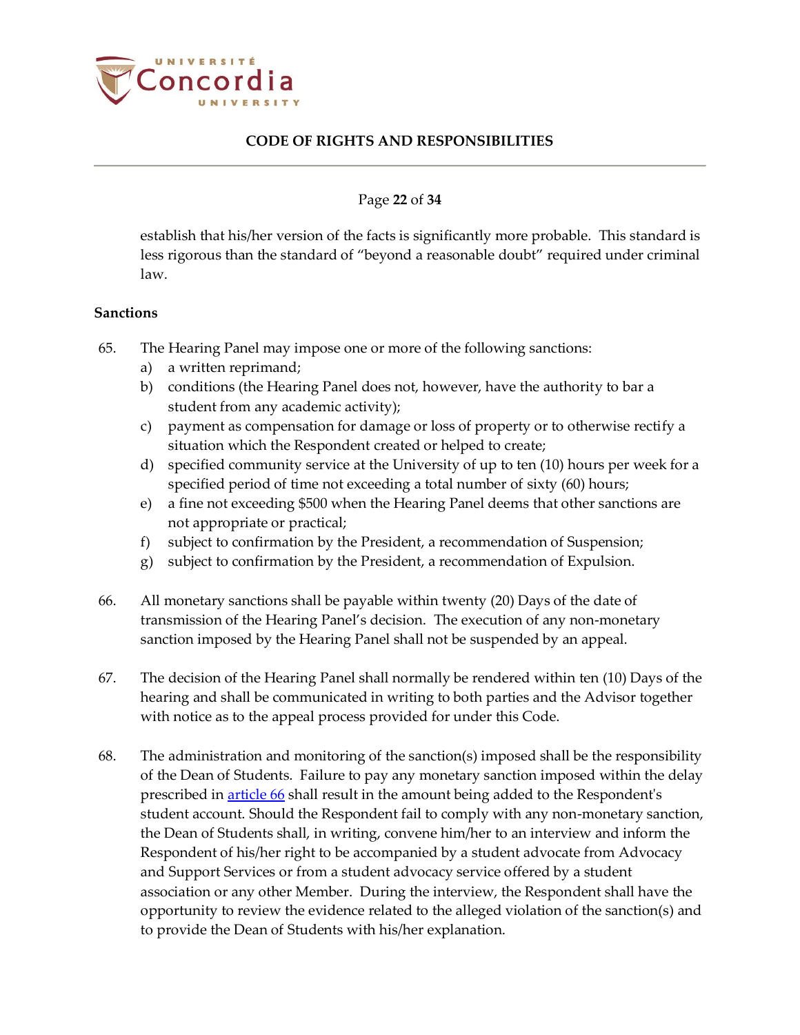

#### Page **22** of **34**

establish that his/her version of the facts is significantly more probable. This standard is less rigorous than the standard of "beyond a reasonable doubt" required under criminal law.

#### <span id="page-21-0"></span>**Sanctions**

- 65. The Hearing Panel may impose one or more of the following sanctions:
	- a) a written reprimand;
	- b) conditions (the Hearing Panel does not, however, have the authority to bar a student from any academic activity);
	- c) payment as compensation for damage or loss of property or to otherwise rectify a situation which the Respondent created or helped to create;
	- d) specified community service at the University of up to ten (10) hours per week for a specified period of time not exceeding a total number of sixty (60) hours;
	- e) a fine not exceeding \$500 when the Hearing Panel deems that other sanctions are not appropriate or practical;
	- f) subject to confirmation by the President, a recommendation of Suspension;
	- g) subject to confirmation by the President, a recommendation of Expulsion.
- <span id="page-21-1"></span>66. All monetary sanctions shall be payable within twenty (20) Days of the date of transmission of the Hearing Panel's decision. The execution of any non-monetary sanction imposed by the Hearing Panel shall not be suspended by an appeal.
- 67. The decision of the Hearing Panel shall normally be rendered within ten (10) Days of the hearing and shall be communicated in writing to both parties and the Advisor together with notice as to the appeal process provided for under this Code.
- 68. The administration and monitoring of the sanction(s) imposed shall be the responsibility of the Dean of Students. Failure to pay any monetary sanction imposed within the delay prescribed in **article 66** shall result in the amount being added to the Respondent's student account. Should the Respondent fail to comply with any non-monetary sanction, the Dean of Students shall, in writing, convene him/her to an interview and inform the Respondent of his/her right to be accompanied by a student advocate from Advocacy and Support Services or from a student advocacy service offered by a student association or any other Member. During the interview, the Respondent shall have the opportunity to review the evidence related to the alleged violation of the sanction(s) and to provide the Dean of Students with his/her explanation.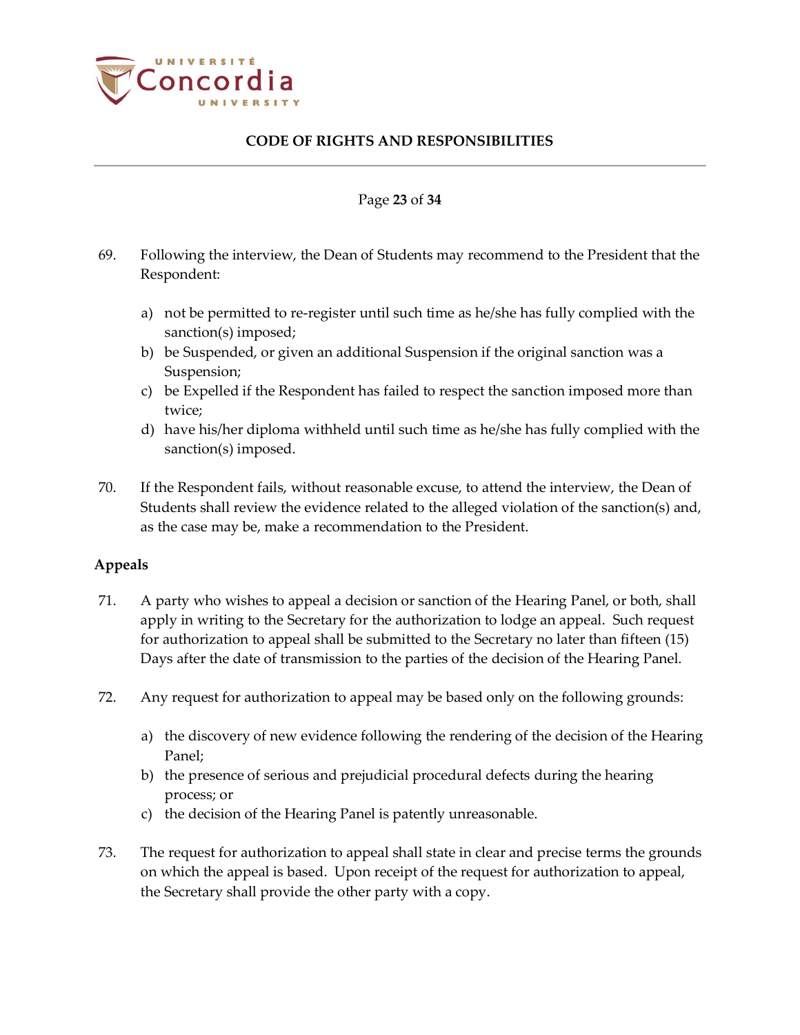

#### Page **23** of **34**

- 69. Following the interview, the Dean of Students may recommend to the President that the Respondent:
	- a) not be permitted to re-register until such time as he/she has fully complied with the sanction(s) imposed;
	- b) be Suspended, or given an additional Suspension if the original sanction was a Suspension;
	- c) be Expelled if the Respondent has failed to respect the sanction imposed more than twice;
	- d) have his/her diploma withheld until such time as he/she has fully complied with the sanction(s) imposed.
- 70. If the Respondent fails, without reasonable excuse, to attend the interview, the Dean of Students shall review the evidence related to the alleged violation of the sanction(s) and, as the case may be, make a recommendation to the President.

### <span id="page-22-0"></span>**Appeals**

- 71. A party who wishes to appeal a decision or sanction of the Hearing Panel, or both, shall apply in writing to the Secretary for the authorization to lodge an appeal. Such request for authorization to appeal shall be submitted to the Secretary no later than fifteen (15) Days after the date of transmission to the parties of the decision of the Hearing Panel.
- 72. Any request for authorization to appeal may be based only on the following grounds:
	- a) the discovery of new evidence following the rendering of the decision of the Hearing Panel;
	- b) the presence of serious and prejudicial procedural defects during the hearing process; or
	- c) the decision of the Hearing Panel is patently unreasonable.
- 73. The request for authorization to appeal shall state in clear and precise terms the grounds on which the appeal is based. Upon receipt of the request for authorization to appeal, the Secretary shall provide the other party with a copy.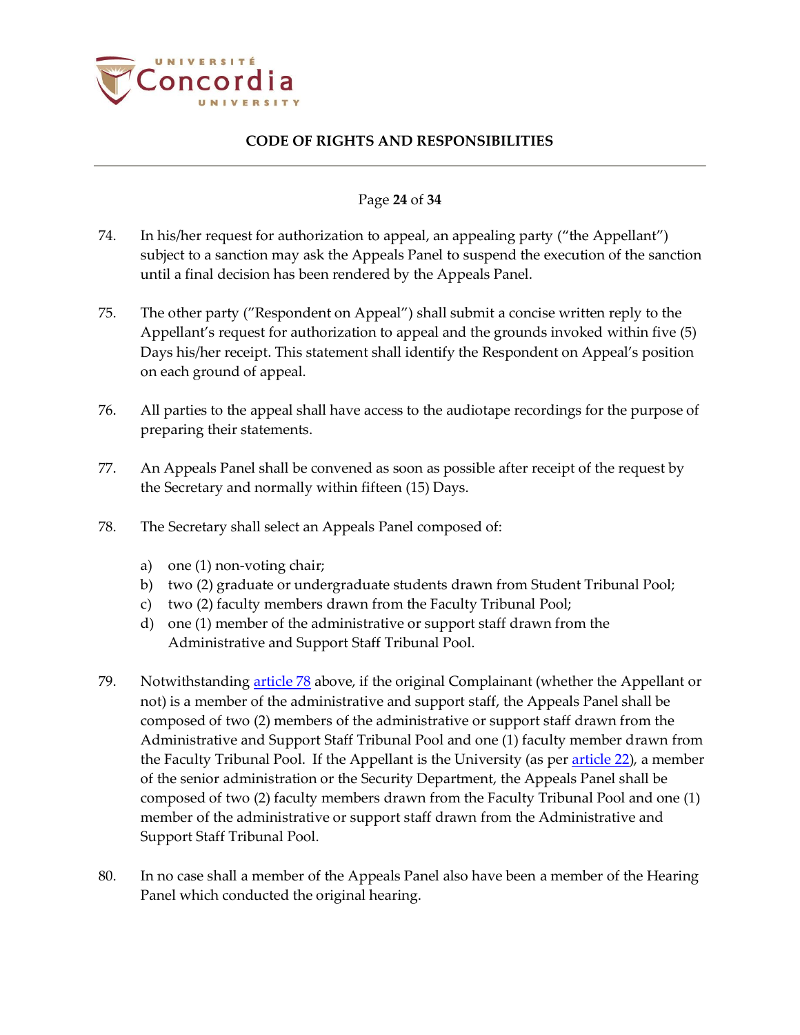

#### Page **24** of **34**

- 74. In his/her request for authorization to appeal, an appealing party ("the Appellant") subject to a sanction may ask the Appeals Panel to suspend the execution of the sanction until a final decision has been rendered by the Appeals Panel.
- 75. The other party ("Respondent on Appeal") shall submit a concise written reply to the Appellant's request for authorization to appeal and the grounds invoked within five (5) Days his/her receipt. This statement shall identify the Respondent on Appeal's position on each ground of appeal.
- 76. All parties to the appeal shall have access to the audiotape recordings for the purpose of preparing their statements.
- 77. An Appeals Panel shall be convened as soon as possible after receipt of the request by the Secretary and normally within fifteen (15) Days.
- <span id="page-23-0"></span>78. The Secretary shall select an Appeals Panel composed of:
	- a) one (1) non-voting chair;
	- b) two (2) graduate or undergraduate students drawn from Student Tribunal Pool;
	- c) two (2) faculty members drawn from the Faculty Tribunal Pool;
	- d) one (1) member of the administrative or support staff drawn from the Administrative and Support Staff Tribunal Pool.
- 79. Notwithstanding [article](#page-23-0) 78 above, if the original Complainant (whether the Appellant or not) is a member of the administrative and support staff, the Appeals Panel shall be composed of two (2) members of the administrative or support staff drawn from the Administrative and Support Staff Tribunal Pool and one (1) faculty member drawn from the Faculty Tribunal Pool. If the Appellant is the University (as pe[r article 22\)](#page-8-3), a member of the senior administration or the Security Department, the Appeals Panel shall be composed of two (2) faculty members drawn from the Faculty Tribunal Pool and one (1) member of the administrative or support staff drawn from the Administrative and Support Staff Tribunal Pool.
- 80. In no case shall a member of the Appeals Panel also have been a member of the Hearing Panel which conducted the original hearing.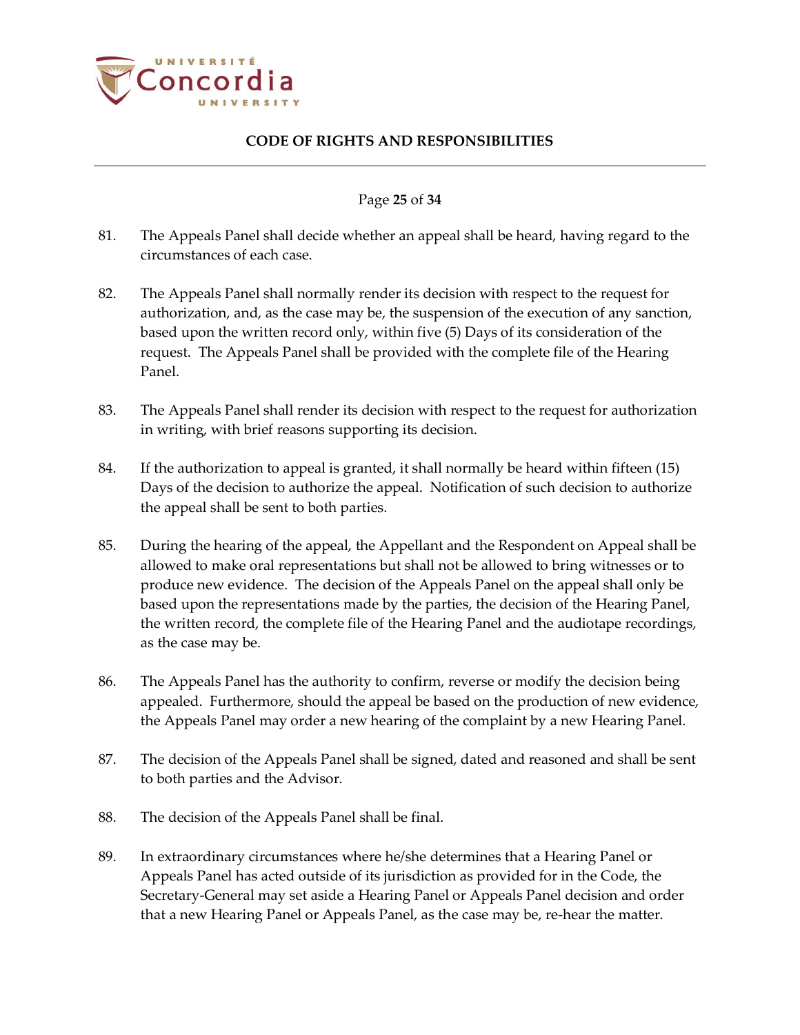

#### Page **25** of **34**

- 81. The Appeals Panel shall decide whether an appeal shall be heard, having regard to the circumstances of each case.
- 82. The Appeals Panel shall normally render its decision with respect to the request for authorization, and, as the case may be, the suspension of the execution of any sanction, based upon the written record only, within five (5) Days of its consideration of the request. The Appeals Panel shall be provided with the complete file of the Hearing Panel.
- 83. The Appeals Panel shall render its decision with respect to the request for authorization in writing, with brief reasons supporting its decision.
- 84. If the authorization to appeal is granted, it shall normally be heard within fifteen (15) Days of the decision to authorize the appeal. Notification of such decision to authorize the appeal shall be sent to both parties.
- 85. During the hearing of the appeal, the Appellant and the Respondent on Appeal shall be allowed to make oral representations but shall not be allowed to bring witnesses or to produce new evidence. The decision of the Appeals Panel on the appeal shall only be based upon the representations made by the parties, the decision of the Hearing Panel, the written record, the complete file of the Hearing Panel and the audiotape recordings, as the case may be.
- 86. The Appeals Panel has the authority to confirm, reverse or modify the decision being appealed. Furthermore, should the appeal be based on the production of new evidence, the Appeals Panel may order a new hearing of the complaint by a new Hearing Panel.
- 87. The decision of the Appeals Panel shall be signed, dated and reasoned and shall be sent to both parties and the Advisor.
- 88. The decision of the Appeals Panel shall be final.
- 89. In extraordinary circumstances where he/she determines that a Hearing Panel or Appeals Panel has acted outside of its jurisdiction as provided for in the Code, the Secretary-General may set aside a Hearing Panel or Appeals Panel decision and order that a new Hearing Panel or Appeals Panel, as the case may be, re-hear the matter.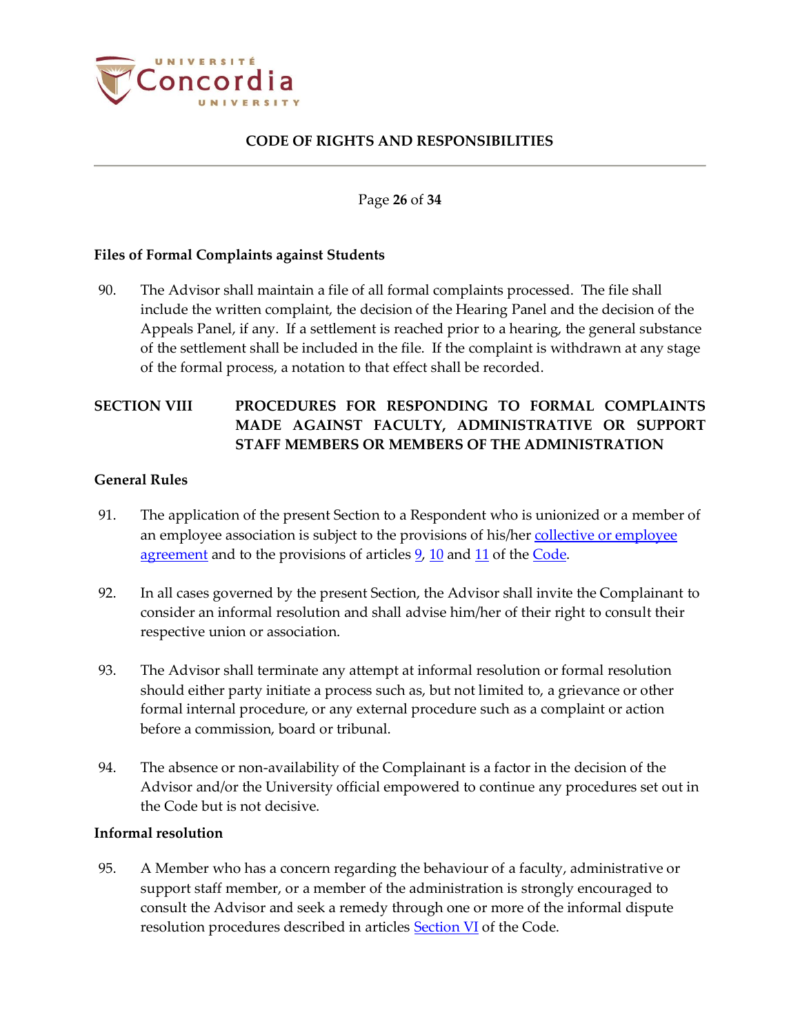

Page **26** of **34**

#### <span id="page-25-0"></span>**Files of Formal Complaints against Students**

90. The Advisor shall maintain a file of all formal complaints processed. The file shall include the written complaint, the decision of the Hearing Panel and the decision of the Appeals Panel, if any. If a settlement is reached prior to a hearing, the general substance of the settlement shall be included in the file. If the complaint is withdrawn at any stage of the formal process, a notation to that effect shall be recorded.

# <span id="page-25-1"></span>**SECTION VIII PROCEDURES FOR RESPONDING TO FORMAL COMPLAINTS MADE AGAINST FACULTY, ADMINISTRATIVE OR SUPPORT STAFF MEMBERS OR MEMBERS OF THE ADMINISTRATION**

#### <span id="page-25-2"></span>**General Rules**

- 91. The application of the present Section to a Respondent who is unionized or a member of an employee association is subject to the provisions of his/her collective or employee [agreement](https://www.concordia.ca/hr/dept/employee-labour-relations/labour-agreements-collective-bargaining.html) and to the provisions of articles [9,](#page-4-6) [10](#page-4-7) and [11](#page-4-8) of th[e Code.](http://www.concordia.ca/content/dam/common/docs/policies/official-policies/Academic-Code-Conduct-2015.pdf)
- 92. In all cases governed by the present Section, the Advisor shall invite the Complainant to consider an informal resolution and shall advise him/her of their right to consult their respective union or association.
- 93. The Advisor shall terminate any attempt at informal resolution or formal resolution should either party initiate a process such as, but not limited to, a grievance or other formal internal procedure, or any external procedure such as a complaint or action before a commission, board or tribunal.
- 94. The absence or non-availability of the Complainant is a factor in the decision of the Advisor and/or the University official empowered to continue any procedures set out in the Code but is not decisive.

#### <span id="page-25-3"></span>**Informal resolution**

95. A Member who has a concern regarding the behaviour of a faculty, administrative or support staff member, or a member of the administration is strongly encouraged to consult the Advisor and seek a remedy through one or more of the informal dispute resolution procedures described in articles [Section VI](#page-14-0) of the Code.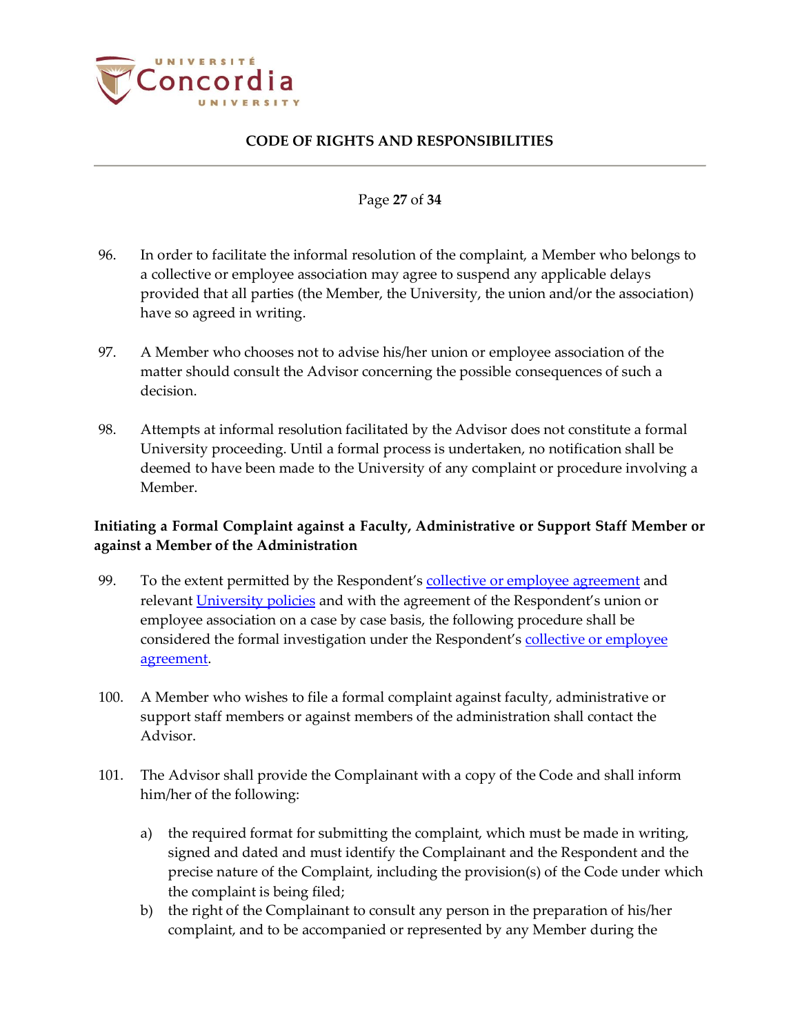

#### Page **27** of **34**

- 96. In order to facilitate the informal resolution of the complaint, a Member who belongs to a collective or employee association may agree to suspend any applicable delays provided that all parties (the Member, the University, the union and/or the association) have so agreed in writing.
- 97. A Member who chooses not to advise his/her union or employee association of the matter should consult the Advisor concerning the possible consequences of such a decision.
- 98. Attempts at informal resolution facilitated by the Advisor does not constitute a formal University proceeding. Until a formal process is undertaken, no notification shall be deemed to have been made to the University of any complaint or procedure involving a Member.

# <span id="page-26-0"></span>**Initiating a Formal Complaint against a Faculty, Administrative or Support Staff Member or against a Member of the Administration**

- 99. To the extent permitted by the Respondent's [collective or employee agreement](https://www.concordia.ca/hr/dept/employee-labour-relations/labour-agreements-collective-bargaining.html) and relevant [University policies](http://www.concordia.ca/about/policies.html) and with the agreement of the Respondent's union or employee association on a case by case basis, the following procedure shall be considered the formal investigation under the Respondent's collective or employee [agreement.](https://www.concordia.ca/hr/dept/employee-labour-relations/labour-agreements-collective-bargaining.html)
- 100. A Member who wishes to file a formal complaint against faculty, administrative or support staff members or against members of the administration shall contact the Advisor.
- 101. The Advisor shall provide the Complainant with a copy of the Code and shall inform him/her of the following:
	- a) the required format for submitting the complaint, which must be made in writing, signed and dated and must identify the Complainant and the Respondent and the precise nature of the Complaint, including the provision(s) of the Code under which the complaint is being filed;
	- b) the right of the Complainant to consult any person in the preparation of his/her complaint, and to be accompanied or represented by any Member during the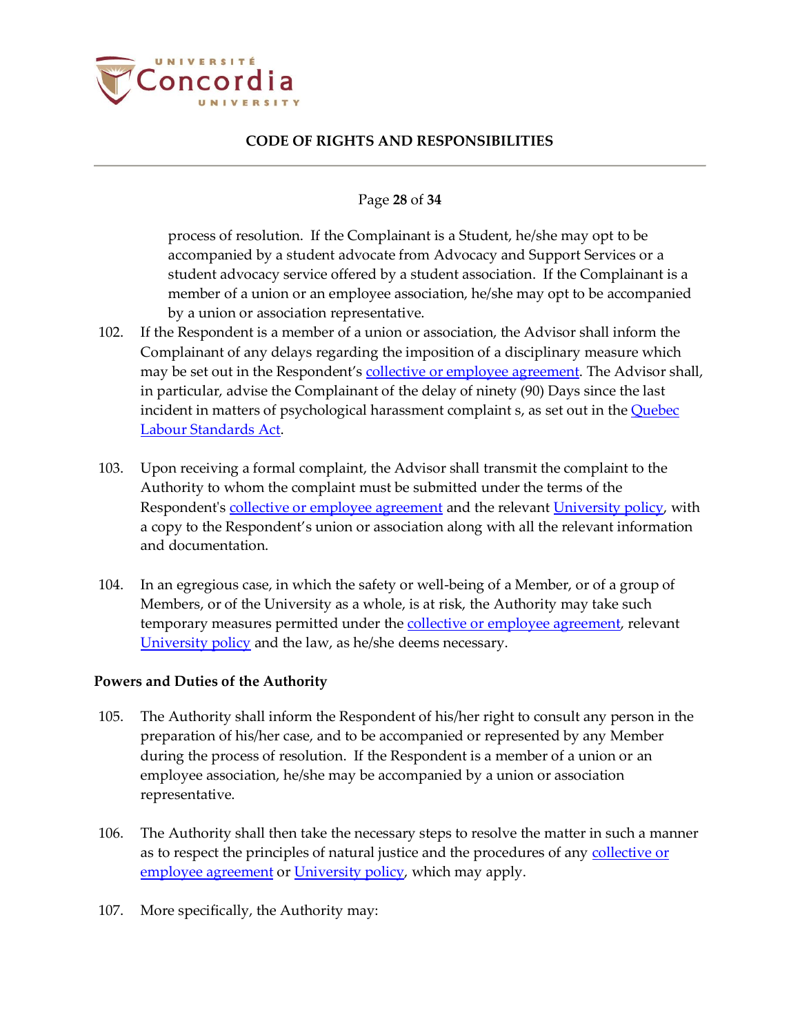

#### Page **28** of **34**

process of resolution. If the Complainant is a Student, he/she may opt to be accompanied by a student advocate from Advocacy and Support Services or a student advocacy service offered by a student association. If the Complainant is a member of a union or an employee association, he/she may opt to be accompanied by a union or association representative.

- 102. If the Respondent is a member of a union or association, the Advisor shall inform the Complainant of any delays regarding the imposition of a disciplinary measure which may be set out in the Respondent's [collective or employee agreement.](https://www.concordia.ca/hr/dept/employee-labour-relations/labour-agreements-collective-bargaining.html) The Advisor shall, in particular, advise the Complainant of the delay of ninety (90) Days since the last incident in matters of psychological harassment complaint s, as set out in the [Quebec](http://www2.publicationsduquebec.gouv.qc.ca/dynamicSearch/telecharge.php?type=2&file=/N_1_1/N1_1_A.html)  [Labour Standards Act.](http://www2.publicationsduquebec.gouv.qc.ca/dynamicSearch/telecharge.php?type=2&file=/N_1_1/N1_1_A.html)
- 103. Upon receiving a formal complaint, the Advisor shall transmit the complaint to the Authority to whom the complaint must be submitted under the terms of the Respondent's [collective or employee agreement](https://www.concordia.ca/hr/dept/employee-labour-relations/labour-agreements-collective-bargaining.html) and the relevan[t University policy,](http://www.concordia.ca/about/policies.html) with a copy to the Respondent's union or association along with all the relevant information and documentation.
- 104. In an egregious case, in which the safety or well-being of a Member, or of a group of Members, or of the University as a whole, is at risk, the Authority may take such temporary measures permitted under th[e collective or employee agreement,](https://www.concordia.ca/hr/dept/employee-labour-relations/labour-agreements-collective-bargaining.html) relevant [University policy](http://www.concordia.ca/about/policies.html) and the law, as he/she deems necessary.

#### <span id="page-27-0"></span>**Powers and Duties of the Authority**

- 105. The Authority shall inform the Respondent of his/her right to consult any person in the preparation of his/her case, and to be accompanied or represented by any Member during the process of resolution. If the Respondent is a member of a union or an employee association, he/she may be accompanied by a union or association representative.
- 106. The Authority shall then take the necessary steps to resolve the matter in such a manner as to respect the principles of natural justice and the procedures of any collective or [employee agreement](https://www.concordia.ca/hr/dept/employee-labour-relations/labour-agreements-collective-bargaining.html) or [University policy,](http://www.concordia.ca/about/policies.html) which may apply.
- 107. More specifically, the Authority may: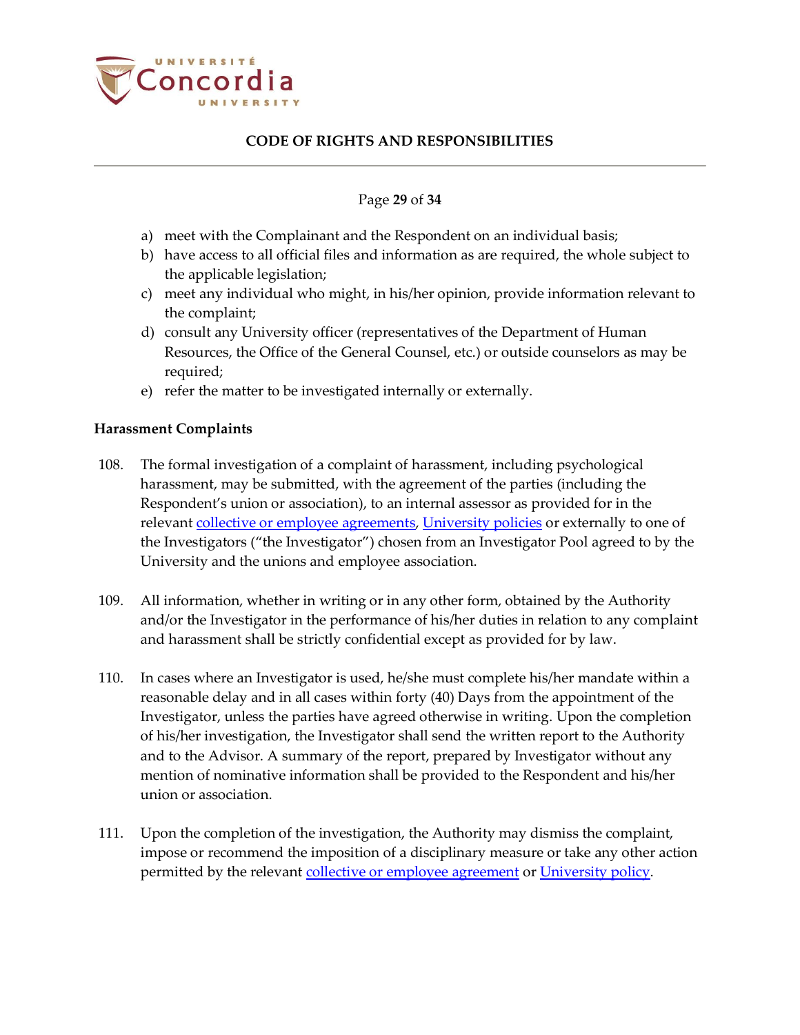

#### Page **29** of **34**

- a) meet with the Complainant and the Respondent on an individual basis;
- b) have access to all official files and information as are required, the whole subject to the applicable legislation;
- c) meet any individual who might, in his/her opinion, provide information relevant to the complaint;
- d) consult any University officer (representatives of the Department of Human Resources, the Office of the General Counsel, etc.) or outside counselors as may be required;
- e) refer the matter to be investigated internally or externally.

### <span id="page-28-0"></span>**Harassment Complaints**

- <span id="page-28-1"></span>108. The formal investigation of a complaint of harassment, including psychological harassment, may be submitted, with the agreement of the parties (including the Respondent's union or association), to an internal assessor as provided for in the relevant [collective or employee agreements,](https://www.concordia.ca/hr/dept/employee-labour-relations/labour-agreements-collective-bargaining.html) [University policies](http://www.concordia.ca/about/policies.html) or externally to one of the Investigators ("the Investigator") chosen from an Investigator Pool agreed to by the University and the unions and employee association.
- 109. All information, whether in writing or in any other form, obtained by the Authority and/or the Investigator in the performance of his/her duties in relation to any complaint and harassment shall be strictly confidential except as provided for by law.
- 110. In cases where an Investigator is used, he/she must complete his/her mandate within a reasonable delay and in all cases within forty (40) Days from the appointment of the Investigator, unless the parties have agreed otherwise in writing. Upon the completion of his/her investigation, the Investigator shall send the written report to the Authority and to the Advisor. A summary of the report, prepared by Investigator without any mention of nominative information shall be provided to the Respondent and his/her union or association.
- 111. Upon the completion of the investigation, the Authority may dismiss the complaint, impose or recommend the imposition of a disciplinary measure or take any other action permitted by the relevant [collective or employee agreement](https://www.concordia.ca/hr/dept/employee-labour-relations/labour-agreements-collective-bargaining.html) or [University policy.](http://www.concordia.ca/about/policies.html)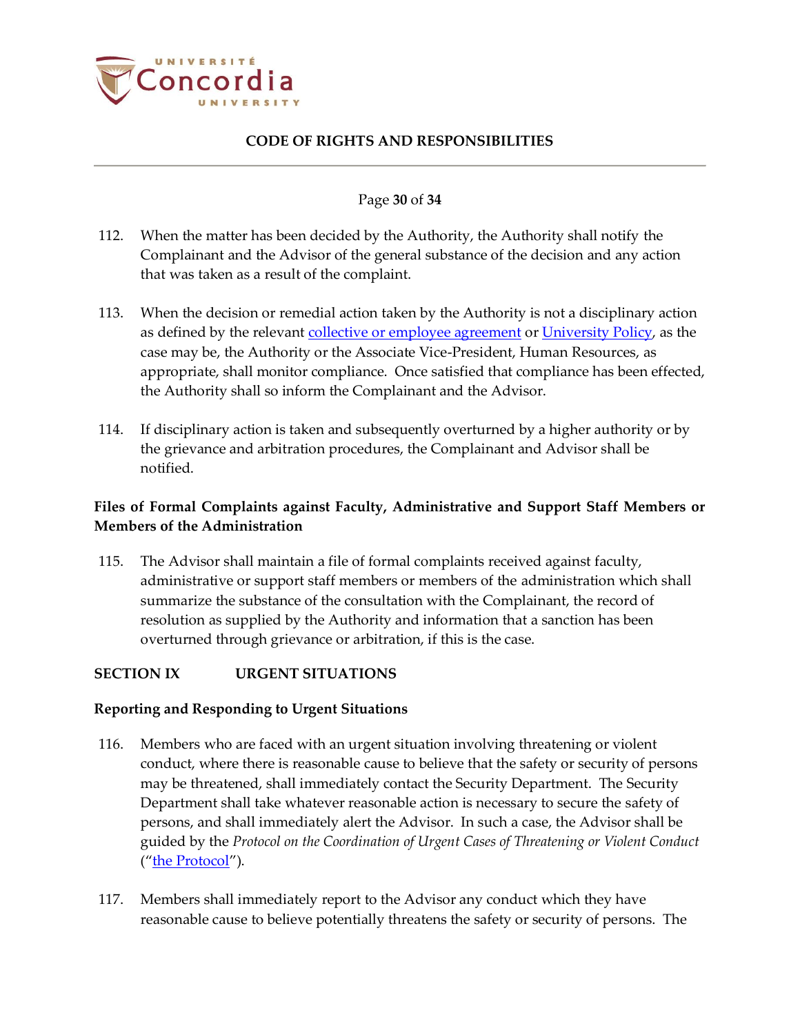

#### Page **30** of **34**

- 112. When the matter has been decided by the Authority, the Authority shall notify the Complainant and the Advisor of the general substance of the decision and any action that was taken as a result of the complaint.
- 113. When the decision or remedial action taken by the Authority is not a disciplinary action as defined by the relevant [collective or employee agreement](https://www.concordia.ca/hr/dept/employee-labour-relations/labour-agreements-collective-bargaining.html) or [University Policy,](http://www.concordia.ca/about/policies.html) as the case may be, the Authority or the Associate Vice-President, Human Resources, as appropriate, shall monitor compliance. Once satisfied that compliance has been effected, the Authority shall so inform the Complainant and the Advisor.
- 114. If disciplinary action is taken and subsequently overturned by a higher authority or by the grievance and arbitration procedures, the Complainant and Advisor shall be notified.

# <span id="page-29-0"></span>**Files of Formal Complaints against Faculty, Administrative and Support Staff Members or Members of the Administration**

115. The Advisor shall maintain a file of formal complaints received against faculty, administrative or support staff members or members of the administration which shall summarize the substance of the consultation with the Complainant, the record of resolution as supplied by the Authority and information that a sanction has been overturned through grievance or arbitration, if this is the case.

### <span id="page-29-1"></span>**SECTION IX URGENT SITUATIONS**

### <span id="page-29-2"></span>**Reporting and Responding to Urgent Situations**

- 116. Members who are faced with an urgent situation involving threatening or violent conduct, where there is reasonable cause to believe that the safety or security of persons may be threatened, shall immediately contact the Security Department. The Security Department shall take whatever reasonable action is necessary to secure the safety of persons, and shall immediately alert the Advisor. In such a case, the Advisor shall be guided by the *Protocol on the Coordination of Urgent Cases of Threatening or Violent Conduct* ("[the Protocol](http://www.concordia.ca/content/dam/common/docs/policies/official-policies/BD-3_Protocol.pdf)").
- 117. Members shall immediately report to the Advisor any conduct which they have reasonable cause to believe potentially threatens the safety or security of persons. The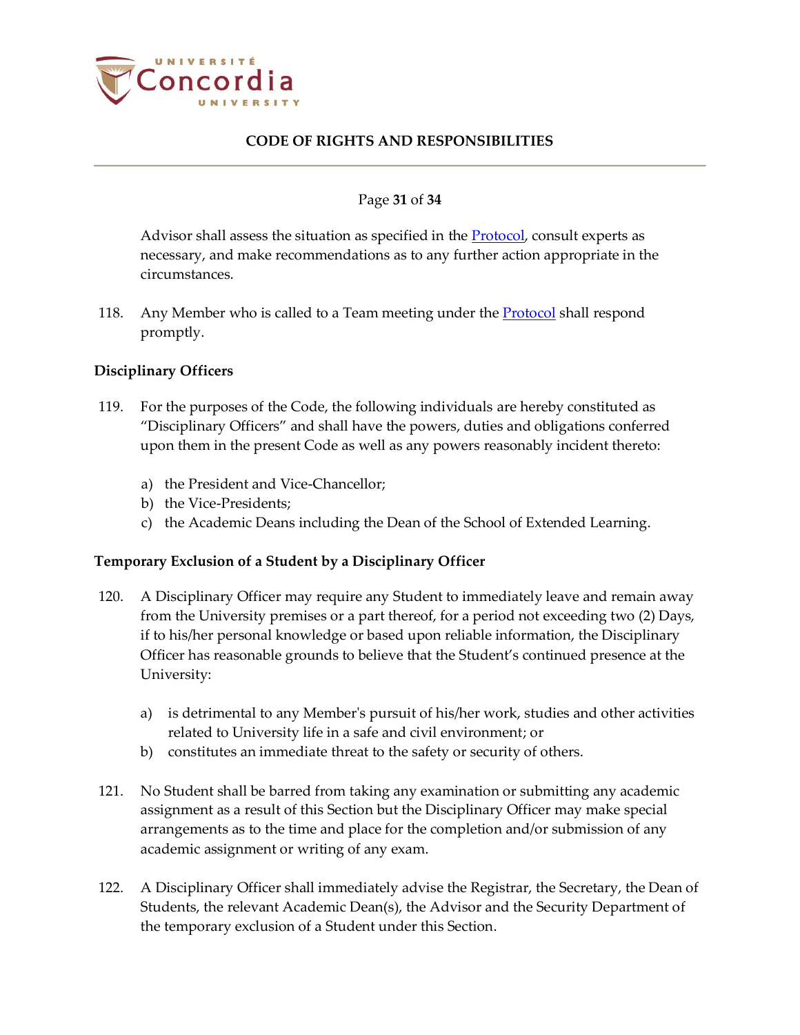

#### Page **31** of **34**

Advisor shall assess the situation as specified in the **Protocol**, consult experts as necessary, and make recommendations as to any further action appropriate in the circumstances.

118. Any Member who is called to a Team meeting under th[e Protocol](http://www.concordia.ca/content/dam/common/docs/policies/official-policies/BD-3_Protocol.pdf) shall respond promptly.

### <span id="page-30-0"></span>**Disciplinary Officers**

- 119. For the purposes of the Code, the following individuals are hereby constituted as "Disciplinary Officers" and shall have the powers, duties and obligations conferred upon them in the present Code as well as any powers reasonably incident thereto:
	- a) the President and Vice-Chancellor;
	- b) the Vice-Presidents;
	- c) the Academic Deans including the Dean of the School of Extended Learning.

### <span id="page-30-1"></span>**Temporary Exclusion of a Student by a Disciplinary Officer**

- 120. A Disciplinary Officer may require any Student to immediately leave and remain away from the University premises or a part thereof, for a period not exceeding two (2) Days, if to his/her personal knowledge or based upon reliable information, the Disciplinary Officer has reasonable grounds to believe that the Student's continued presence at the University:
	- a) is detrimental to any Member's pursuit of his/her work, studies and other activities related to University life in a safe and civil environment; or
	- b) constitutes an immediate threat to the safety or security of others.
- 121. No Student shall be barred from taking any examination or submitting any academic assignment as a result of this Section but the Disciplinary Officer may make special arrangements as to the time and place for the completion and/or submission of any academic assignment or writing of any exam.
- 122. A Disciplinary Officer shall immediately advise the Registrar, the Secretary, the Dean of Students, the relevant Academic Dean(s), the Advisor and the Security Department of the temporary exclusion of a Student under this Section.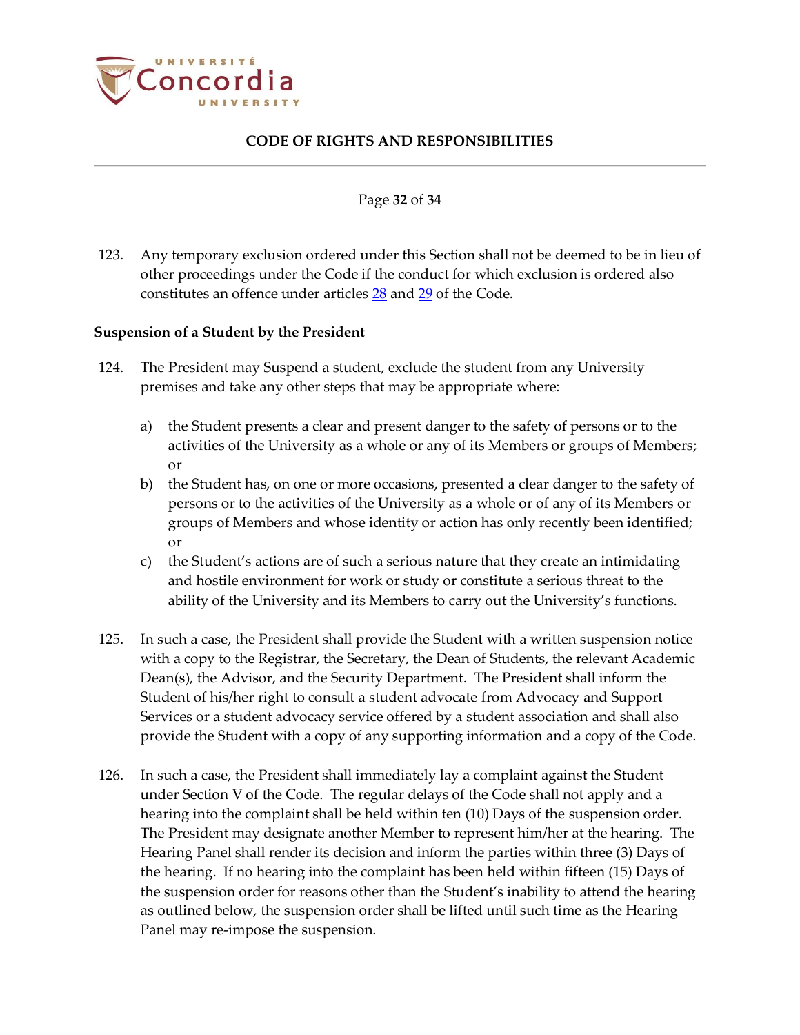

#### Page **32** of **34**

123. Any temporary exclusion ordered under this Section shall not be deemed to be in lieu of other proceedings under the Code if the conduct for which exclusion is ordered also constitutes an offence under articles [28](#page-10-0) and [29](#page-12-0) of the Code.

#### <span id="page-31-0"></span>**Suspension of a Student by the President**

- 124. The President may Suspend a student, exclude the student from any University premises and take any other steps that may be appropriate where:
	- a) the Student presents a clear and present danger to the safety of persons or to the activities of the University as a whole or any of its Members or groups of Members; or
	- b) the Student has, on one or more occasions, presented a clear danger to the safety of persons or to the activities of the University as a whole or of any of its Members or groups of Members and whose identity or action has only recently been identified; or
	- c) the Student's actions are of such a serious nature that they create an intimidating and hostile environment for work or study or constitute a serious threat to the ability of the University and its Members to carry out the University's functions.
- 125. In such a case, the President shall provide the Student with a written suspension notice with a copy to the Registrar, the Secretary, the Dean of Students, the relevant Academic Dean(s), the Advisor, and the Security Department. The President shall inform the Student of his/her right to consult a student advocate from Advocacy and Support Services or a student advocacy service offered by a student association and shall also provide the Student with a copy of any supporting information and a copy of the Code.
- 126. In such a case, the President shall immediately lay a complaint against the Student under Section V of the Code. The regular delays of the Code shall not apply and a hearing into the complaint shall be held within ten (10) Days of the suspension order. The President may designate another Member to represent him/her at the hearing. The Hearing Panel shall render its decision and inform the parties within three (3) Days of the hearing. If no hearing into the complaint has been held within fifteen (15) Days of the suspension order for reasons other than the Student's inability to attend the hearing as outlined below, the suspension order shall be lifted until such time as the Hearing Panel may re-impose the suspension.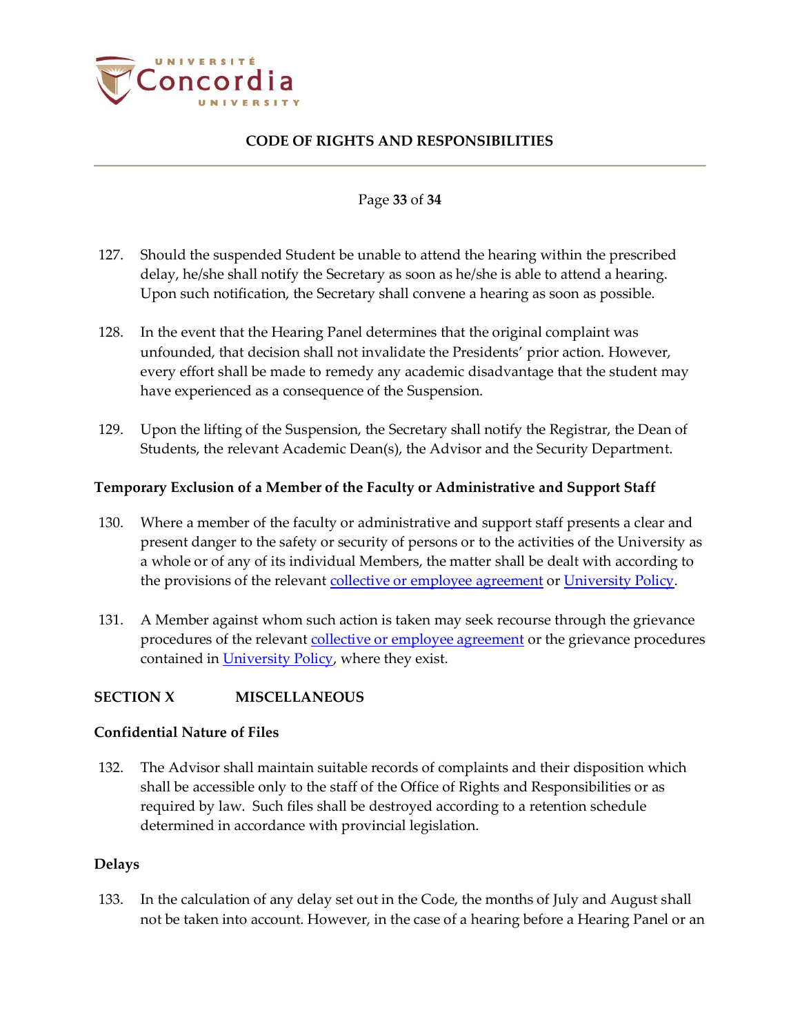

#### Page **33** of **34**

- 127. Should the suspended Student be unable to attend the hearing within the prescribed delay, he/she shall notify the Secretary as soon as he/she is able to attend a hearing. Upon such notification, the Secretary shall convene a hearing as soon as possible.
- 128. In the event that the Hearing Panel determines that the original complaint was unfounded, that decision shall not invalidate the Presidents' prior action. However, every effort shall be made to remedy any academic disadvantage that the student may have experienced as a consequence of the Suspension.
- 129. Upon the lifting of the Suspension, the Secretary shall notify the Registrar, the Dean of Students, the relevant Academic Dean(s), the Advisor and the Security Department.

#### <span id="page-32-0"></span>**Temporary Exclusion of a Member of the Faculty or Administrative and Support Staff**

- 130. Where a member of the faculty or administrative and support staff presents a clear and present danger to the safety or security of persons or to the activities of the University as a whole or of any of its individual Members, the matter shall be dealt with according to the provisions of the relevan[t collective or employee agreement](https://www.concordia.ca/hr/dept/employee-labour-relations/labour-agreements-collective-bargaining.html) o[r University Policy.](http://www.concordia.ca/about/policies.html)
- 131. A Member against whom such action is taken may seek recourse through the grievance procedures of the relevant [collective or employee agreement](https://www.concordia.ca/hr/dept/employee-labour-relations/labour-agreements-collective-bargaining.html) or the grievance procedures contained in *University Policy*, where they exist.

### <span id="page-32-1"></span>**SECTION X MISCELLANEOUS**

#### <span id="page-32-2"></span>**Confidential Nature of Files**

132. The Advisor shall maintain suitable records of complaints and their disposition which shall be accessible only to the staff of the Office of Rights and Responsibilities or as required by law. Such files shall be destroyed according to a retention schedule determined in accordance with provincial legislation.

#### <span id="page-32-3"></span>**Delays**

133. In the calculation of any delay set out in the Code, the months of July and August shall not be taken into account. However, in the case of a hearing before a Hearing Panel or an